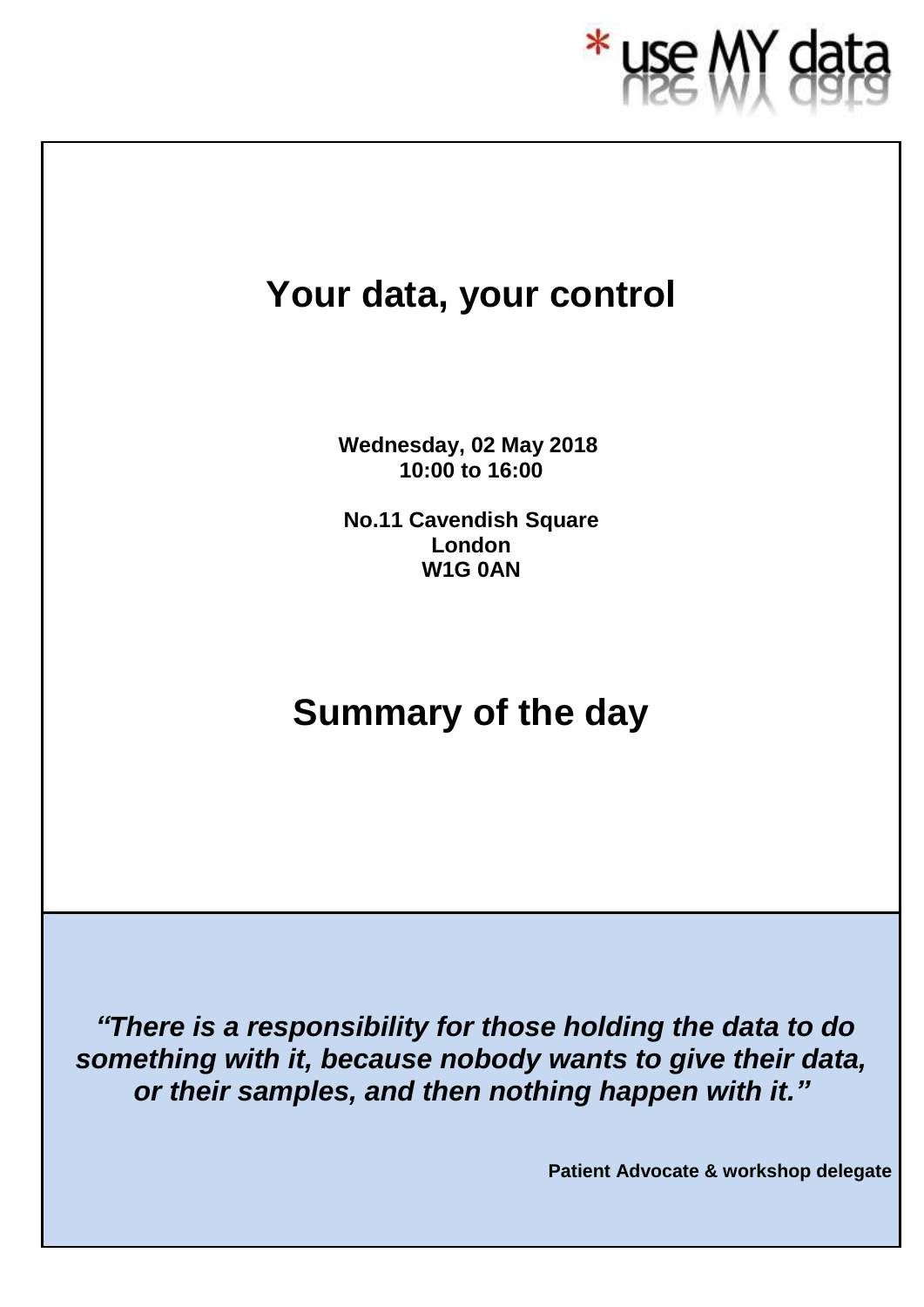

# **Your data, your control**

**Wednesday, 02 May 2018, 10:00 to 16:00**

**No.11 Cavendish Square London W1G 0AN**

# **Summary of the day**

*"There is a responsibility for those holding the data to do something with it, because nobody wants to give their data, or their samples, and then nothing happen with it."*

**Patient Advocate & workshop delegate**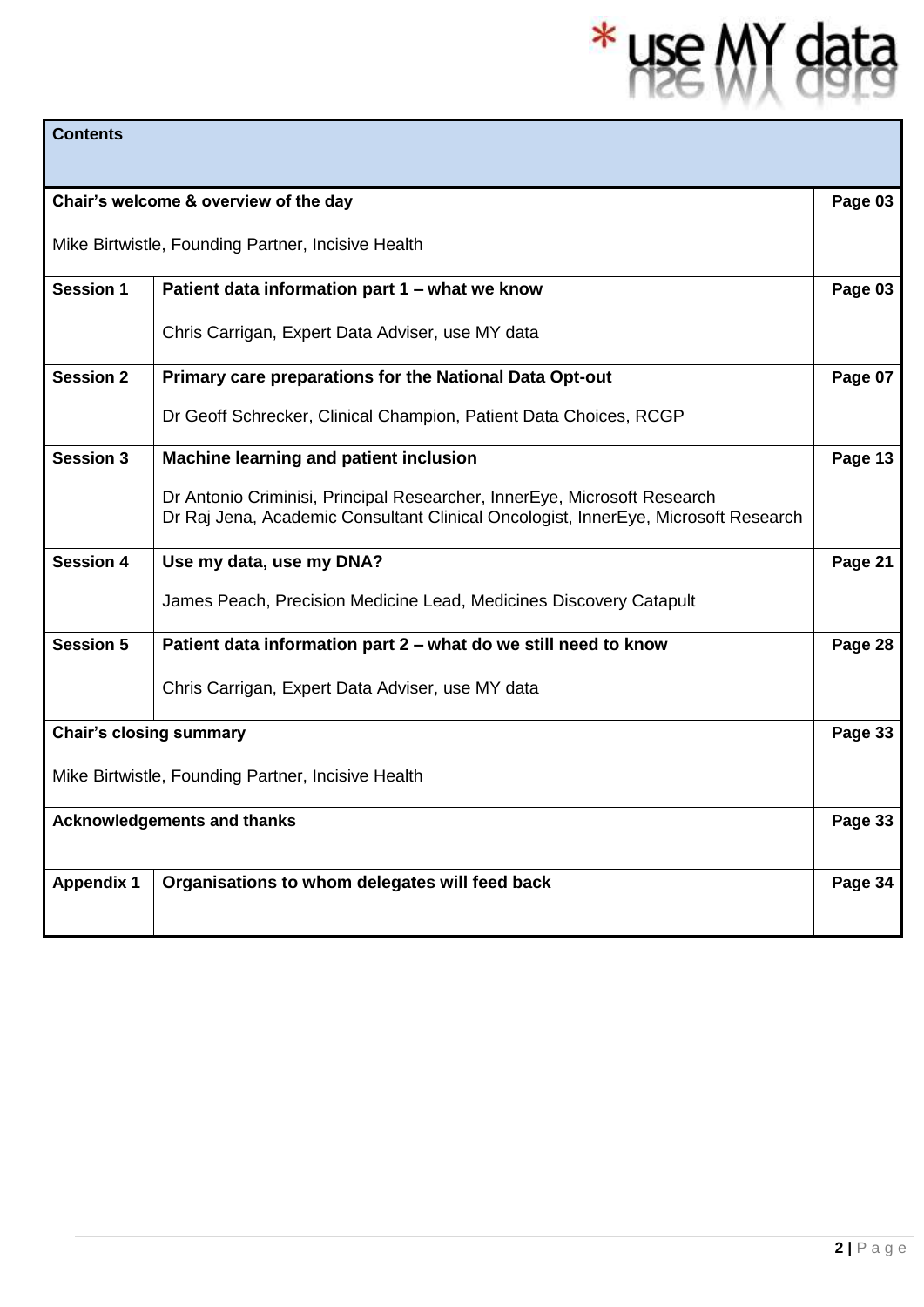# \* use MY data

| <b>Contents</b>                                    |                                                                                                                                                                |         |  |
|----------------------------------------------------|----------------------------------------------------------------------------------------------------------------------------------------------------------------|---------|--|
|                                                    |                                                                                                                                                                |         |  |
| Chair's welcome & overview of the day              |                                                                                                                                                                | Page 03 |  |
| Mike Birtwistle, Founding Partner, Incisive Health |                                                                                                                                                                |         |  |
| <b>Session 1</b>                                   | Patient data information part 1 - what we know                                                                                                                 | Page 03 |  |
|                                                    | Chris Carrigan, Expert Data Adviser, use MY data                                                                                                               |         |  |
| <b>Session 2</b>                                   | Primary care preparations for the National Data Opt-out                                                                                                        | Page 07 |  |
|                                                    | Dr Geoff Schrecker, Clinical Champion, Patient Data Choices, RCGP                                                                                              |         |  |
| <b>Session 3</b>                                   | Machine learning and patient inclusion                                                                                                                         | Page 13 |  |
|                                                    | Dr Antonio Criminisi, Principal Researcher, InnerEye, Microsoft Research<br>Dr Raj Jena, Academic Consultant Clinical Oncologist, InnerEye, Microsoft Research |         |  |
| <b>Session 4</b>                                   | Use my data, use my DNA?                                                                                                                                       | Page 21 |  |
|                                                    | James Peach, Precision Medicine Lead, Medicines Discovery Catapult                                                                                             |         |  |
| <b>Session 5</b>                                   | Patient data information part 2 – what do we still need to know                                                                                                | Page 28 |  |
|                                                    | Chris Carrigan, Expert Data Adviser, use MY data                                                                                                               |         |  |
| <b>Chair's closing summary</b>                     |                                                                                                                                                                | Page 33 |  |
| Mike Birtwistle, Founding Partner, Incisive Health |                                                                                                                                                                |         |  |
| <b>Acknowledgements and thanks</b>                 |                                                                                                                                                                | Page 33 |  |
| <b>Appendix 1</b>                                  | Organisations to whom delegates will feed back                                                                                                                 | Page 34 |  |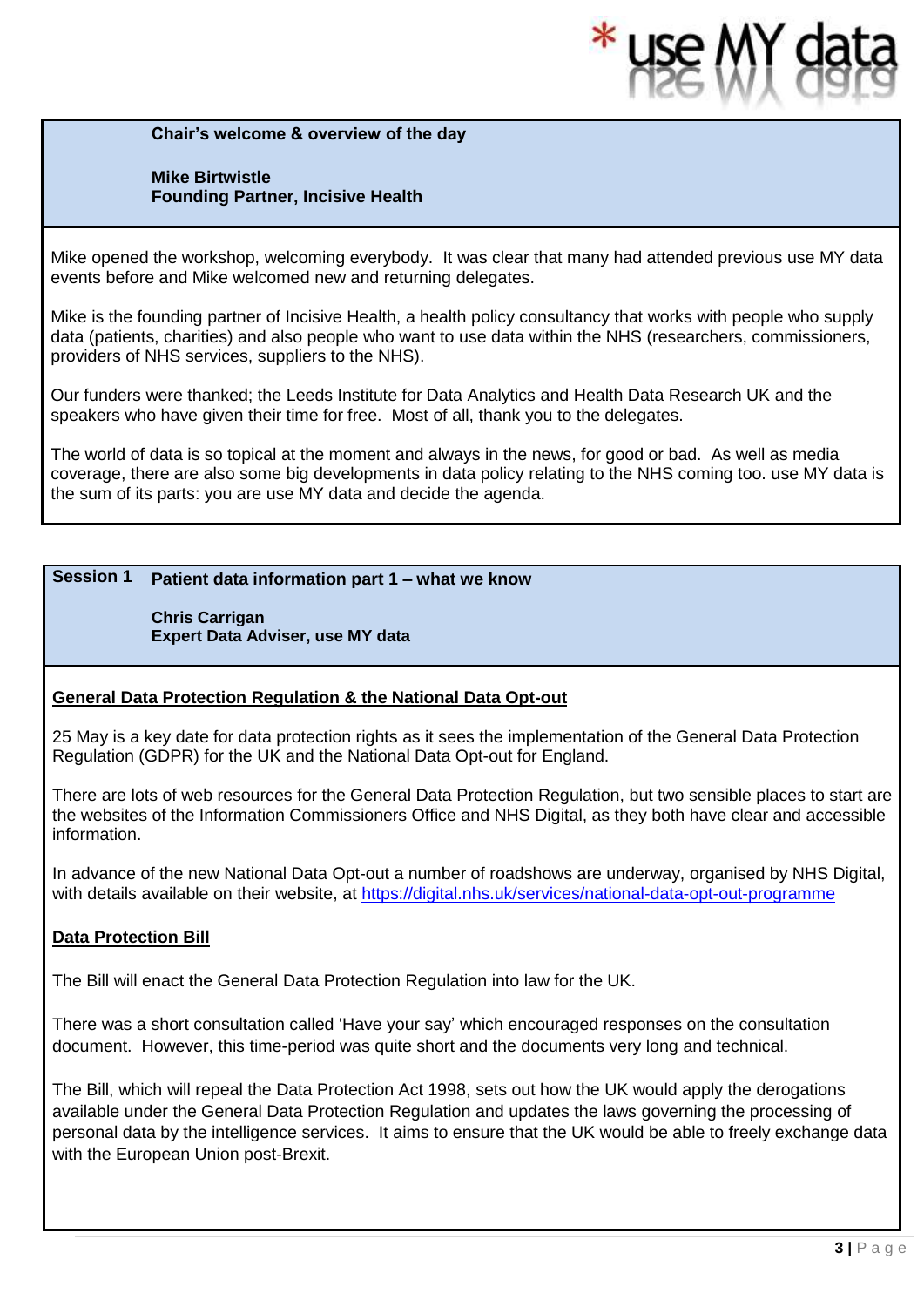

**Chair's welcome & overview of the day**

#### **Mike Birtwistle Founding Partner, Incisive Health**

Mike opened the workshop, welcoming everybody. It was clear that many had attended previous use MY data events before and Mike welcomed new and returning delegates.

Mike is the founding partner of Incisive Health, a health policy consultancy that works with people who supply data (patients, charities) and also people who want to use data within the NHS (researchers, commissioners, providers of NHS services, suppliers to the NHS).

Our funders were thanked; the Leeds Institute for Data Analytics and Health Data Research UK and the speakers who have given their time for free. Most of all, thank you to the delegates.

The world of data is so topical at the moment and always in the news, for good or bad. As well as media coverage, there are also some big developments in data policy relating to the NHS coming too. use MY data is the sum of its parts: you are use MY data and decide the agenda.

#### **Session 1 Patient data information part 1 – what we know**

**Chris Carrigan Expert Data Adviser, use MY data**

#### **General Data Protection Regulation & the National Data Opt-out**

25 May is a key date for data protection rights as it sees the implementation of the General Data Protection Regulation (GDPR) for the UK and the National Data Opt-out for England.

There are lots of web resources for the General Data Protection Regulation, but two sensible places to start are the websites of the Information Commissioners Office and NHS Digital, as they both have clear and accessible information.

In advance of the new National Data Opt-out a number of roadshows are underway, organised by NHS Digital, with details available on their website, at<https://digital.nhs.uk/services/national-data-opt-out-programme>

#### **Data Protection Bill**

The Bill will enact the General Data Protection Regulation into law for the UK.

There was a short consultation called 'Have your say' which encouraged responses on the consultation document. However, this time-period was quite short and the documents very long and technical.

The Bill, which will repeal the Data Protection Act 1998, sets out how the UK would apply the derogations available under the General Data Protection Regulation and updates the laws governing the processing of personal data by the intelligence services. It aims to ensure that the UK would be able to freely exchange data with the European Union post-Brexit.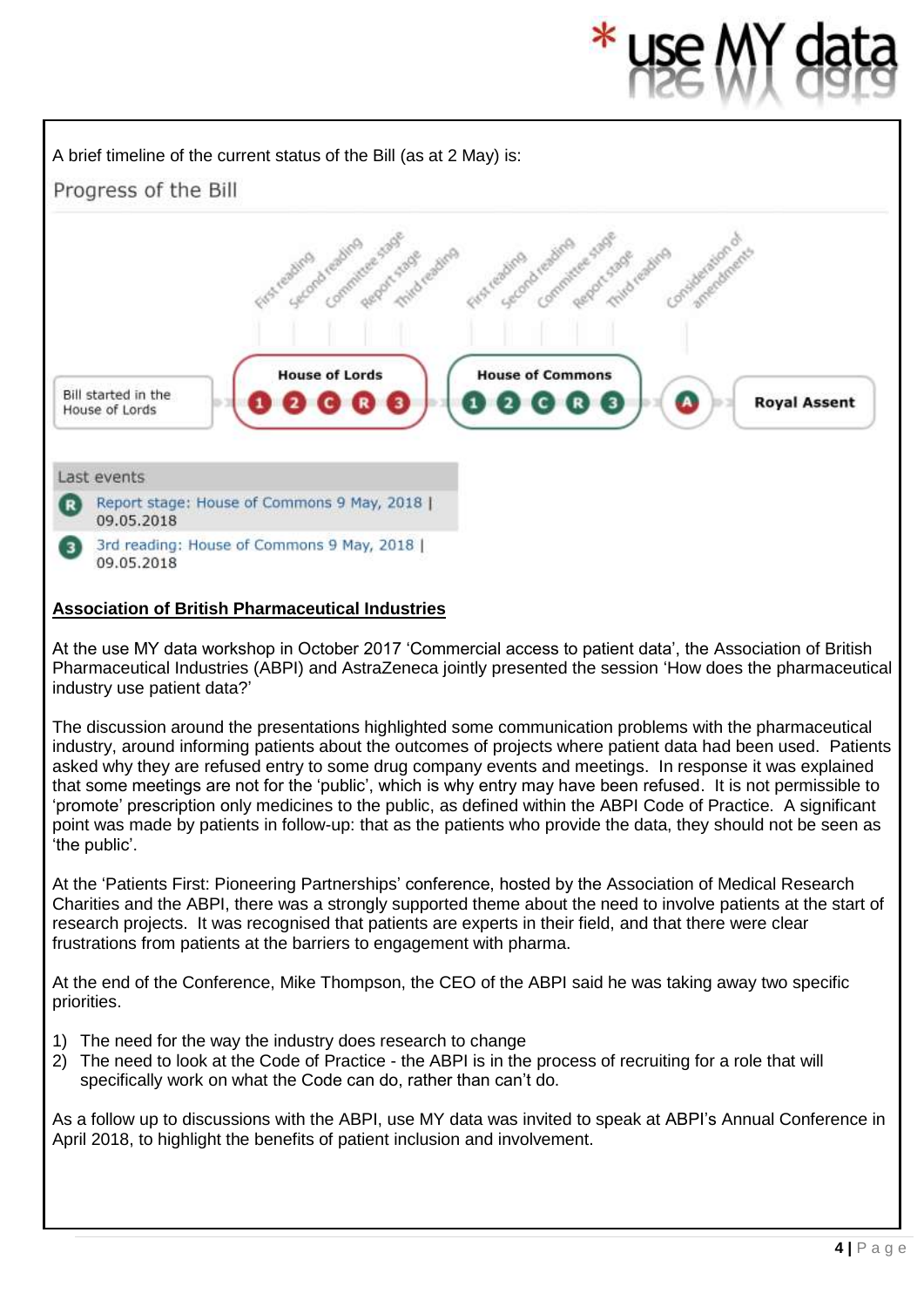#### A brief timeline of the current status of the Bill (as at 2 May) is: Progress of the Bill Gommittee Stage d reading eagure Second Leaders eading reading Consideration of amendments Third reading Report force **House of Lords House of Commons** Bill started in the **QQ**  $Q$  $Q$  $R$  $S$ **Royal Assent**  $\mathbf{1}$  $\overline{\mathbf{z}}$ House of Lords Last events Report stage: House of Commons 9 May, 2018 | R) 09.05.2018 3rd reading: House of Commons 9 May, 2018 | 3 09.05.2018

### **Association of British Pharmaceutical Industries**

At the use MY data workshop in October 2017 'Commercial access to patient data', the Association of British Pharmaceutical Industries (ABPI) and AstraZeneca jointly presented the session 'How does the pharmaceutical industry use patient data?'

The discussion around the presentations highlighted some communication problems with the pharmaceutical industry, around informing patients about the outcomes of projects where patient data had been used. Patients asked why they are refused entry to some drug company events and meetings. In response it was explained that some meetings are not for the 'public', which is why entry may have been refused. It is not permissible to 'promote' prescription only medicines to the public, as defined within the ABPI Code of Practice. A significant point was made by patients in follow-up: that as the patients who provide the data, they should not be seen as 'the public'.

At the 'Patients First: Pioneering Partnerships' conference, hosted by the Association of Medical Research Charities and the ABPI, there was a strongly supported theme about the need to involve patients at the start of research projects. It was recognised that patients are experts in their field, and that there were clear frustrations from patients at the barriers to engagement with pharma.

At the end of the Conference, Mike Thompson, the CEO of the ABPI said he was taking away two specific priorities.

- 1) The need for the way the industry does research to change
- 2) The need to look at the Code of Practice the ABPI is in the process of recruiting for a role that will specifically work on what the Code can do, rather than can't do.

As a follow up to discussions with the ABPI, use MY data was invited to speak at ABPI's Annual Conference in April 2018, to highlight the benefits of patient inclusion and involvement.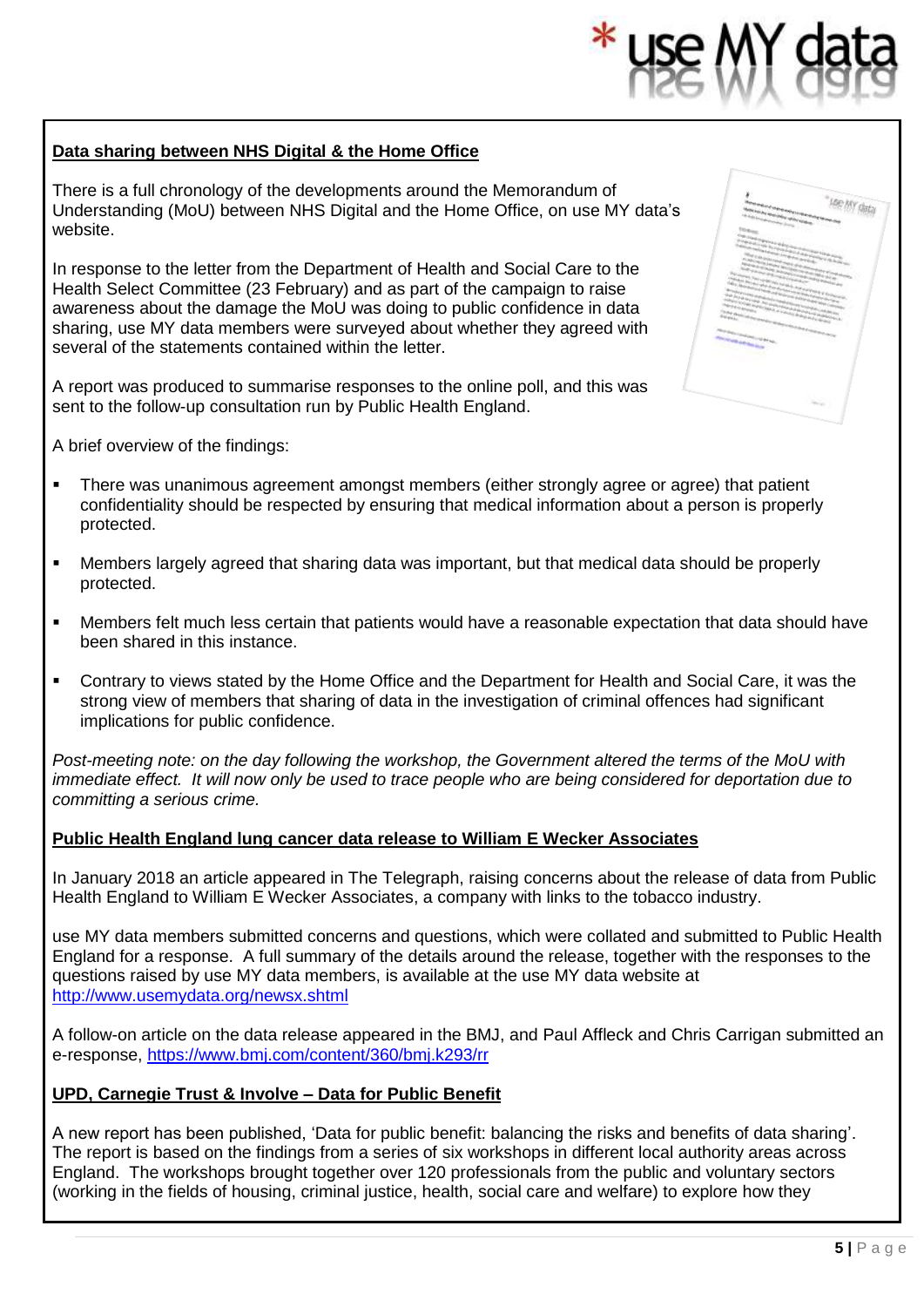#### **Data sharing between NHS Digital & the Home Office**

There is a full chronology of the developments around the Memorandum of Understanding (MoU) between NHS Digital and the Home Office, on use MY data's website.

In response to the letter from the Department of Health and Social Care to the Health Select Committee (23 February) and as part of the campaign to raise awareness about the damage the MoU was doing to public confidence in data sharing, use MY data members were surveyed about whether they agreed with several of the statements contained within the letter.

A report was produced to summarise responses to the online poll, and this was sent to the follow-up consultation run by Public Health England.

A brief overview of the findings:

- **•** There was unanimous agreement amongst members (either strongly agree or agree) that patient confidentiality should be respected by ensuring that medical information about a person is properly protected.
- Members largely agreed that sharing data was important, but that medical data should be properly protected.
- Members felt much less certain that patients would have a reasonable expectation that data should have been shared in this instance.
- **Contrary to views stated by the Home Office and the Department for Health and Social Care, it was the** strong view of members that sharing of data in the investigation of criminal offences had significant implications for public confidence.

*Post-meeting note: on the day following the workshop, the Government altered the terms of the MoU with immediate effect. It will now only be used to trace people who are being considered for deportation due to committing a serious crime.*

#### **Public Health England lung cancer data release to William E Wecker Associates**

In January 2018 an article appeared in The Telegraph, raising concerns about the release of data from Public Health England to William E Wecker Associates, a company with links to the tobacco industry.

use MY data members submitted concerns and questions, which were collated and submitted to Public Health England for a response. A full summary of the details around the release, together with the responses to the questions raised by use MY data members, is available at the use MY data website at <http://www.usemydata.org/newsx.shtml>

A follow-on article on the data release appeared in the BMJ, and Paul Affleck and Chris Carrigan submitted an e-response,<https://www.bmj.com/content/360/bmj.k293/rr>

#### **UPD, Carnegie Trust & Involve – Data for Public Benefit**

A new report has been published, 'Data for public benefit: balancing the risks and benefits of data sharing'. The report is based on the findings from a series of six workshops in different local authority areas across England. The workshops brought together over 120 professionals from the public and voluntary sectors (working in the fields of housing, criminal justice, health, social care and welfare) to explore how they

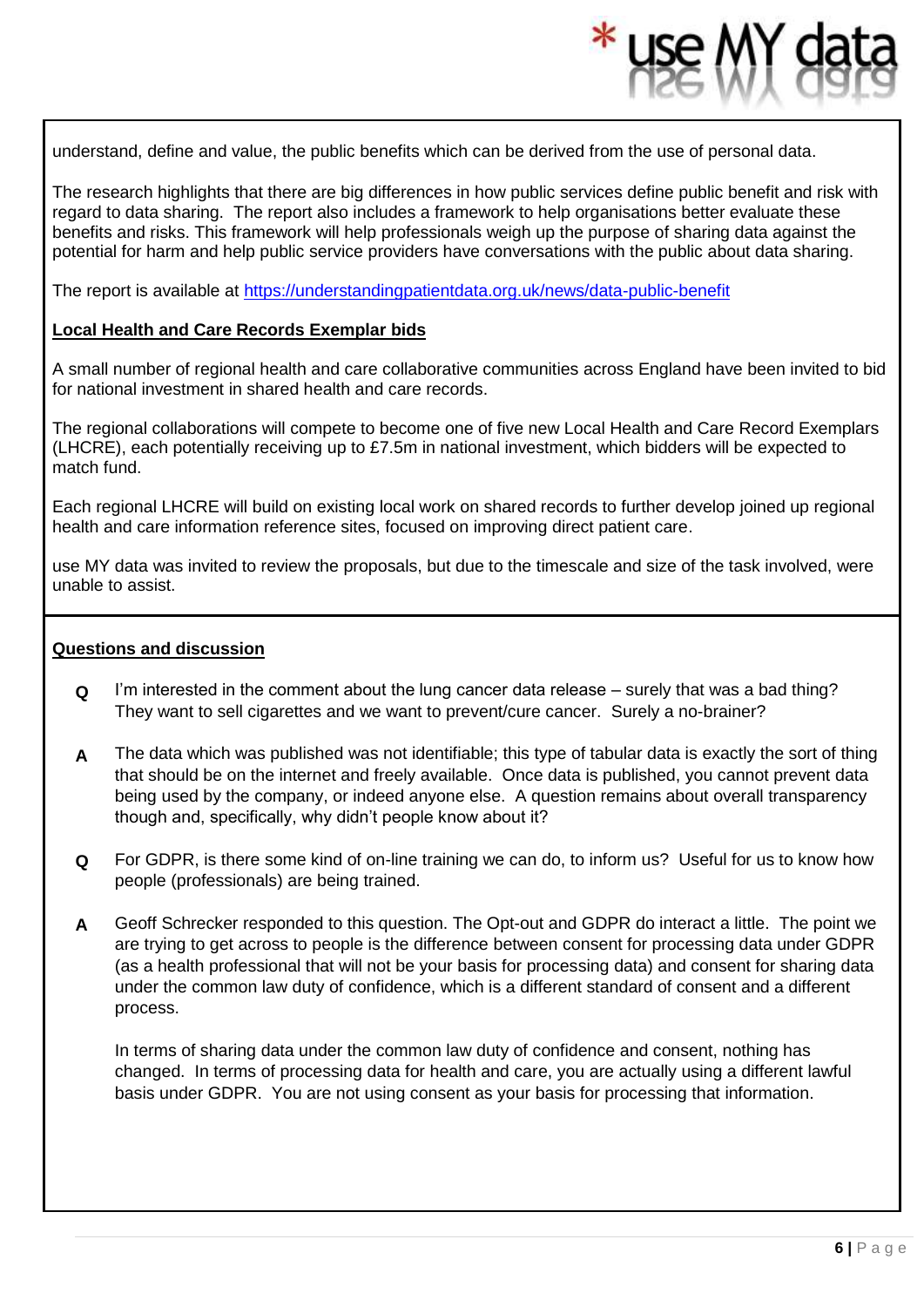understand, define and value, the public benefits which can be derived from the use of personal data.

The research highlights that there are big differences in how public services define public benefit and risk with regard to data sharing. The report also includes a framework to help organisations better evaluate these benefits and risks. This framework will help professionals weigh up the purpose of sharing data against the potential for harm and help public service providers have conversations with the public about data sharing.

The report is available at<https://understandingpatientdata.org.uk/news/data-public-benefit>

#### **Local Health and Care Records Exemplar bids**

A small number of regional health and care collaborative communities across England have been invited to bid for national investment in shared health and care records.

The regional collaborations will compete to become one of five new Local Health and Care Record Exemplars (LHCRE), each potentially receiving up to £7.5m in national investment, which bidders will be expected to match fund.

Each regional LHCRE will build on existing local work on shared records to further develop joined up regional health and care information reference sites, focused on improving direct patient care.

use MY data was invited to review the proposals, but due to the timescale and size of the task involved, were unable to assist.

#### **Questions and discussion**

- **Q** I'm interested in the comment about the lung cancer data release surely that was a bad thing? They want to sell cigarettes and we want to prevent/cure cancer. Surely a no-brainer?
- **A** The data which was published was not identifiable; this type of tabular data is exactly the sort of thing that should be on the internet and freely available. Once data is published, you cannot prevent data being used by the company, or indeed anyone else. A question remains about overall transparency though and, specifically, why didn't people know about it?
- **Q** For GDPR, is there some kind of on-line training we can do, to inform us? Useful for us to know how people (professionals) are being trained.
- **A** Geoff Schrecker responded to this question. The Opt-out and GDPR do interact a little. The point we are trying to get across to people is the difference between consent for processing data under GDPR (as a health professional that will not be your basis for processing data) and consent for sharing data under the common law duty of confidence, which is a different standard of consent and a different process.

In terms of sharing data under the common law duty of confidence and consent, nothing has changed. In terms of processing data for health and care, you are actually using a different lawful basis under GDPR. You are not using consent as your basis for processing that information.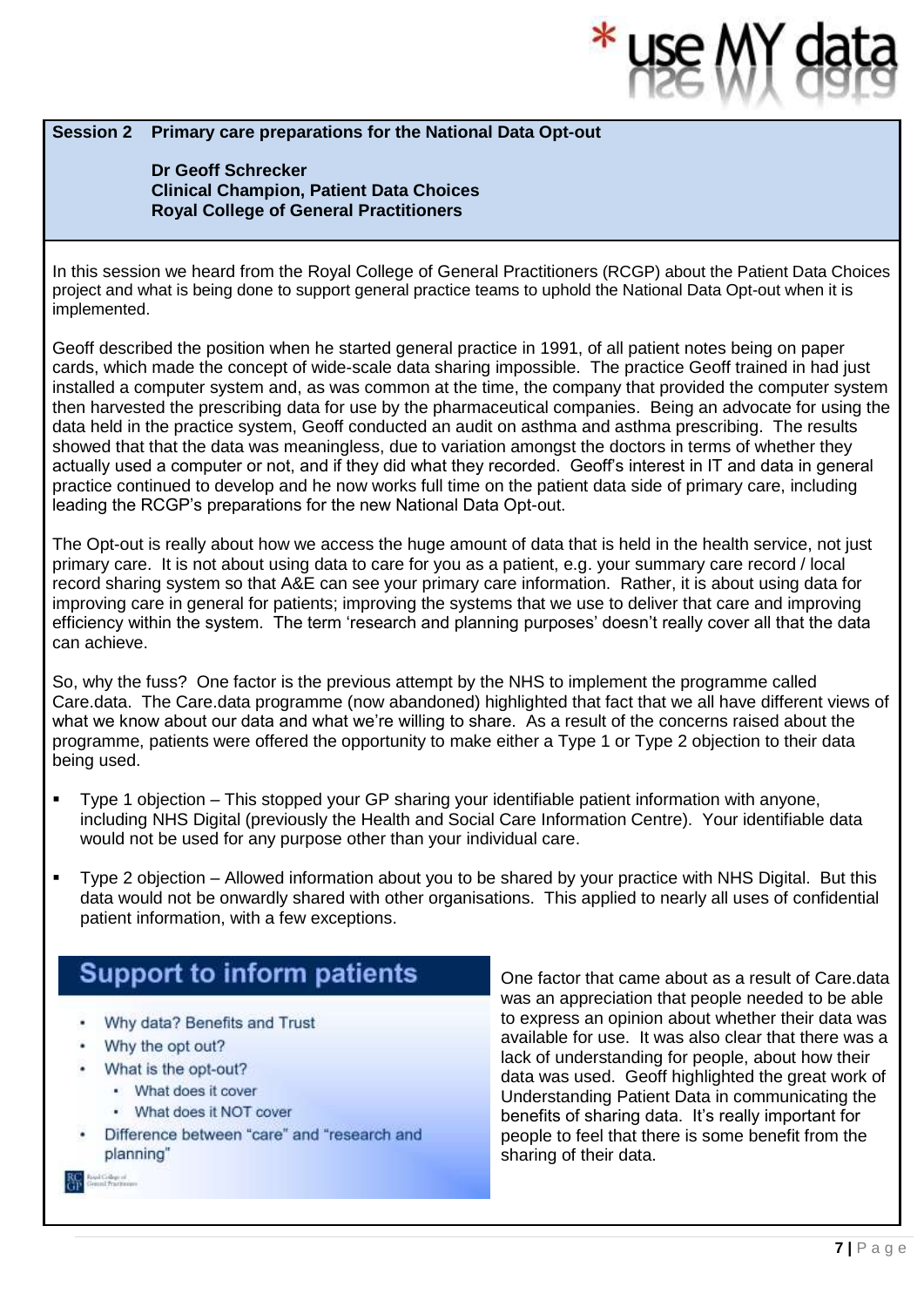#### **Session 2 Primary care preparations for the National Data Opt-out**

**Dr Geoff Schrecker Clinical Champion, Patient Data Choices Royal College of General Practitioners**

In this session we heard from the Royal College of General Practitioners (RCGP) about the Patient Data Choices project and what is being done to support general practice teams to uphold the National Data Opt-out when it is implemented.

Geoff described the position when he started general practice in 1991, of all patient notes being on paper cards, which made the concept of wide-scale data sharing impossible. The practice Geoff trained in had just installed a computer system and, as was common at the time, the company that provided the computer system then harvested the prescribing data for use by the pharmaceutical companies. Being an advocate for using the data held in the practice system, Geoff conducted an audit on asthma and asthma prescribing. The results showed that that the data was meaningless, due to variation amongst the doctors in terms of whether they actually used a computer or not, and if they did what they recorded. Geoff's interest in IT and data in general practice continued to develop and he now works full time on the patient data side of primary care, including leading the RCGP's preparations for the new National Data Opt-out.

The Opt-out is really about how we access the huge amount of data that is held in the health service, not just primary care. It is not about using data to care for you as a patient, e.g. your summary care record / local record sharing system so that A&E can see your primary care information. Rather, it is about using data for improving care in general for patients; improving the systems that we use to deliver that care and improving efficiency within the system. The term 'research and planning purposes' doesn't really cover all that the data can achieve.

So, why the fuss? One factor is the previous attempt by the NHS to implement the programme called Care.data. The Care.data programme (now abandoned) highlighted that fact that we all have different views of what we know about our data and what we're willing to share. As a result of the concerns raised about the programme, patients were offered the opportunity to make either a Type 1 or Type 2 objection to their data being used.

- Type 1 objection This stopped your GP sharing your identifiable patient information with anyone, including NHS Digital (previously the Health and Social Care Information Centre). Your identifiable data would not be used for any purpose other than your individual care.
- Type 2 objection Allowed information about you to be shared by your practice with NHS Digital. But this data would not be onwardly shared with other organisations. This applied to nearly all uses of confidential patient information, with a few exceptions.

# **Support to inform patients**

- Why data? Benefits and Trust
- Why the opt out?
- What is the opt-out?
	- What does it cover
	- What does it NOT cover
- Difference between "care" and "research and planning"

One factor that came about as a result of Care.data was an appreciation that people needed to be able to express an opinion about whether their data was available for use. It was also clear that there was a lack of understanding for people, about how their data was used. Geoff highlighted the great work of Understanding Patient Data in communicating the benefits of sharing data. It's really important for people to feel that there is some benefit from the sharing of their data.

Royal College of<br>General Practition 器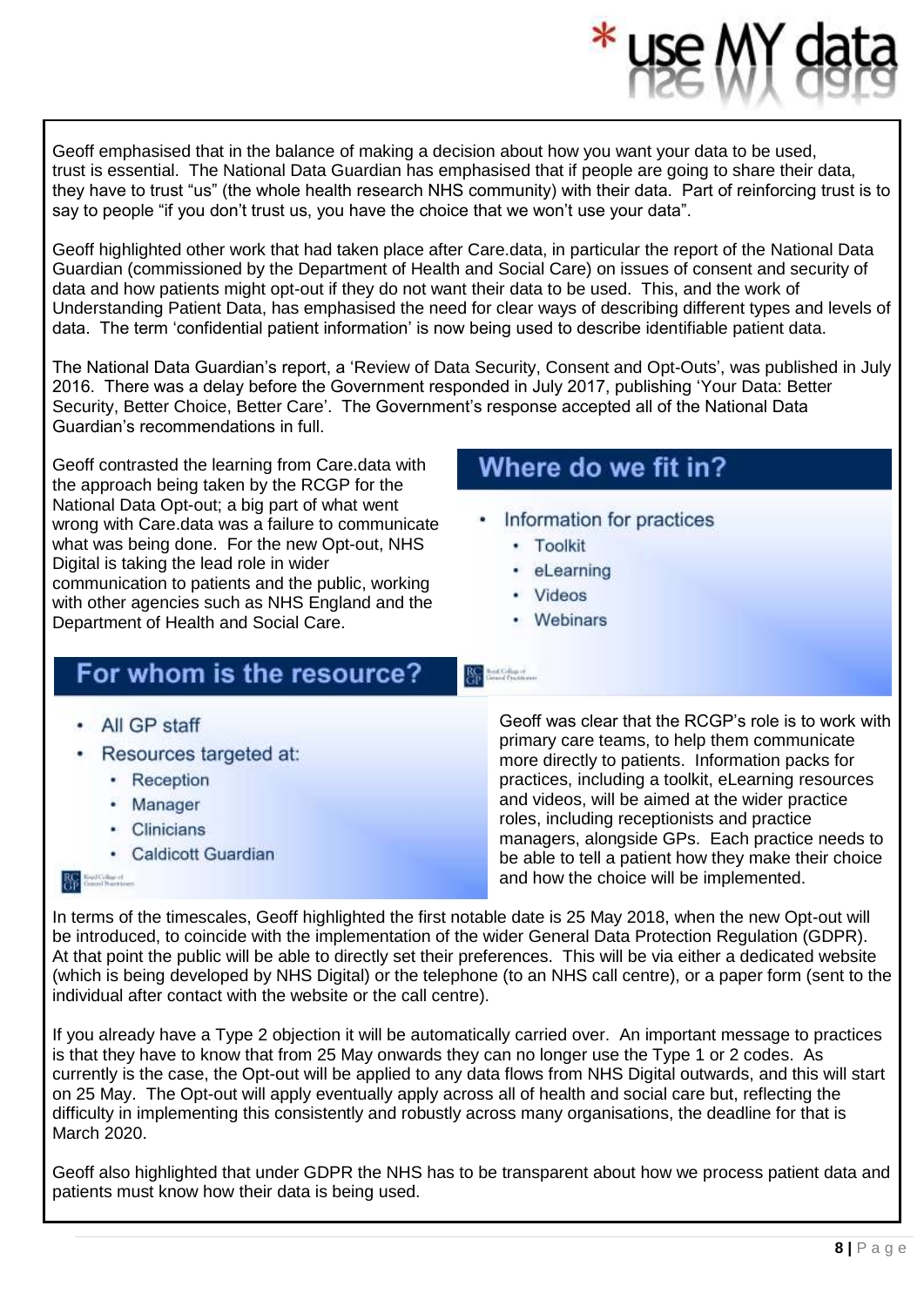Geoff emphasised that in the balance of making a decision about how you want your data to be used, trust is essential. The National Data Guardian has emphasised that if people are going to share their data, they have to trust "us" (the whole health research NHS community) with their data. Part of reinforcing trust is to say to people "if you don't trust us, you have the choice that we won't use your data".

Geoff highlighted other work that had taken place after Care.data, in particular the report of the National Data Guardian (commissioned by the Department of Health and Social Care) on issues of consent and security of data and how patients might opt-out if they do not want their data to be used. This, and the work of Understanding Patient Data, has emphasised the need for clear ways of describing different types and levels of data. The term 'confidential patient information' is now being used to describe identifiable patient data.

The National Data Guardian's report, a 'Review of Data Security, Consent and Opt-Outs', was published in July 2016. There was a delay before the Government responded in July 2017, publishing 'Your Data: Better Security, Better Choice, Better Care'. The Government's response accepted all of the National Data Guardian's recommendations in full.

Geoff contrasted the learning from Care.data with the approach being taken by the RCGP for the National Data Opt-out; a big part of what went wrong with Care.data was a failure to communicate what was being done. For the new Opt-out, NHS Digital is taking the lead role in wider communication to patients and the public, working with other agencies such as NHS England and the Department of Health and Social Care.

# For whom is the resource?

- All GP staff
- Resources targeted at:
	- Reception
	- Manager
	- Clinicians
	- Caldicott Guardian

**RC** ExplCultured

# Where do we fit in?

- Information for practices
	- · Toolkit
	- · eLearning
	- Videos

RC Bad Giliam

• Webinars

Geoff was clear that the RCGP's role is to work with primary care teams, to help them communicate more directly to patients. Information packs for practices, including a toolkit, eLearning resources and videos, will be aimed at the wider practice roles, including receptionists and practice managers, alongside GPs. Each practice needs to be able to tell a patient how they make their choice and how the choice will be implemented.

In terms of the timescales, Geoff highlighted the first notable date is 25 May 2018, when the new Opt-out will be introduced, to coincide with the implementation of the wider General Data Protection Regulation (GDPR). At that point the public will be able to directly set their preferences. This will be via either a dedicated website (which is being developed by NHS Digital) or the telephone (to an NHS call centre), or a paper form (sent to the individual after contact with the website or the call centre).

If you already have a Type 2 objection it will be automatically carried over. An important message to practices is that they have to know that from 25 May onwards they can no longer use the Type 1 or 2 codes. As currently is the case, the Opt-out will be applied to any data flows from NHS Digital outwards, and this will start on 25 May. The Opt-out will apply eventually apply across all of health and social care but, reflecting the difficulty in implementing this consistently and robustly across many organisations, the deadline for that is March 2020.

Geoff also highlighted that under GDPR the NHS has to be transparent about how we process patient data and patients must know how their data is being used.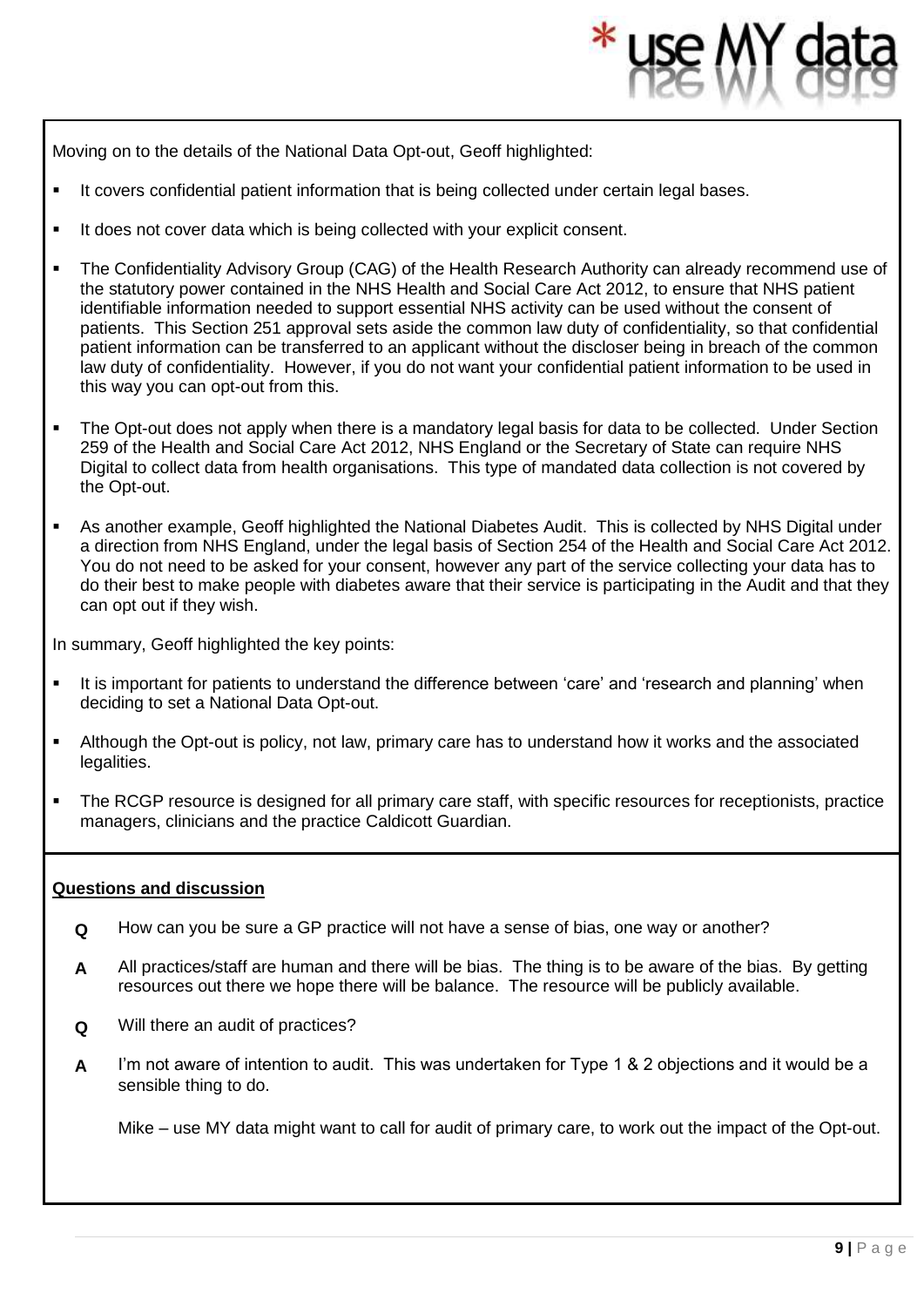Moving on to the details of the National Data Opt-out, Geoff highlighted:

- It covers confidential patient information that is being collected under certain legal bases.
- It does not cover data which is being collected with your explicit consent.
- **•** The Confidentiality Advisory Group (CAG) of the Health Research Authority can already recommend use of the statutory power contained in the NHS Health and Social Care Act 2012, to ensure that NHS patient identifiable information needed to support essential NHS activity can be used without the consent of patients. This Section 251 approval sets aside the common law duty of confidentiality, so that confidential patient information can be transferred to an applicant without the discloser being in breach of the common law duty of confidentiality. However, if you do not want your confidential patient information to be used in this way you can opt-out from this.
- The Opt-out does not apply when there is a mandatory legal basis for data to be collected. Under Section 259 of the Health and Social Care Act 2012, NHS England or the Secretary of State can require NHS Digital to collect data from health organisations. This type of mandated data collection is not covered by the Opt-out.
- As another example, Geoff highlighted the National Diabetes Audit. This is collected by NHS Digital under a direction from NHS England, under the legal basis of Section 254 of the Health and Social Care Act 2012. You do not need to be asked for your consent, however any part of the service collecting your data has to do their best to make people with diabetes aware that their service is participating in the Audit and that they can opt out if they wish.

In summary, Geoff highlighted the key points:

- It is important for patients to understand the difference between 'care' and 'research and planning' when deciding to set a National Data Opt-out.
- **EXTENDI** Although the Opt-out is policy, not law, primary care has to understand how it works and the associated legalities.
- The RCGP resource is designed for all primary care staff, with specific resources for receptionists, practice managers, clinicians and the practice Caldicott Guardian.

#### **Questions and discussion**

- **Q** How can you be sure a GP practice will not have a sense of bias, one way or another?
- **A** All practices/staff are human and there will be bias. The thing is to be aware of the bias. By getting resources out there we hope there will be balance. The resource will be publicly available.
- **Q** Will there an audit of practices?
- **A** I'm not aware of intention to audit. This was undertaken for Type 1 & 2 objections and it would be a sensible thing to do.

Mike – use MY data might want to call for audit of primary care, to work out the impact of the Opt-out.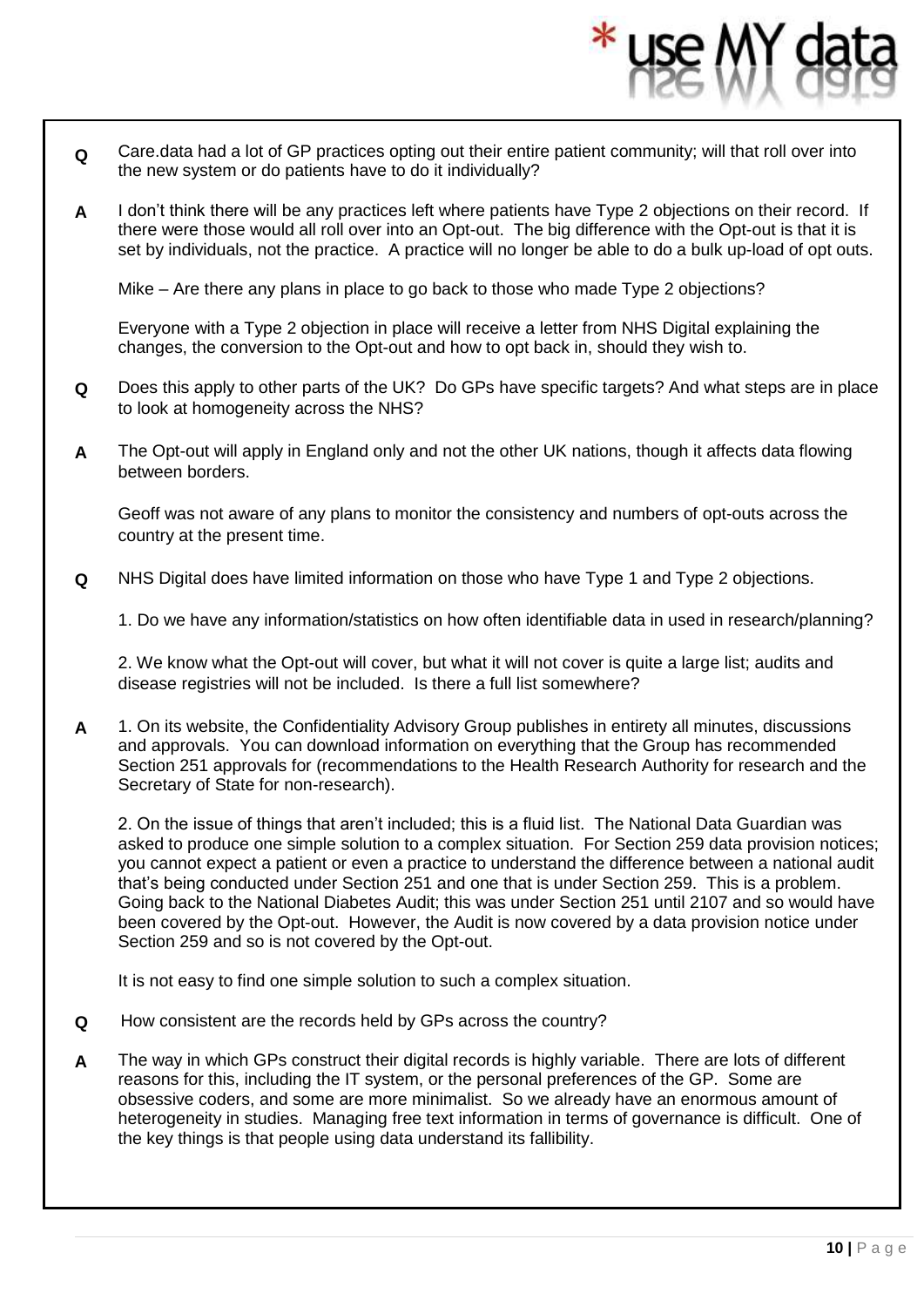- **Q** Care.data had a lot of GP practices opting out their entire patient community; will that roll over into the new system or do patients have to do it individually?
- **A** I don't think there will be any practices left where patients have Type 2 objections on their record. If there were those would all roll over into an Opt-out. The big difference with the Opt-out is that it is set by individuals, not the practice. A practice will no longer be able to do a bulk up-load of opt outs.

Mike – Are there any plans in place to go back to those who made Type 2 objections?

Everyone with a Type 2 objection in place will receive a letter from NHS Digital explaining the changes, the conversion to the Opt-out and how to opt back in, should they wish to.

- **Q** Does this apply to other parts of the UK? Do GPs have specific targets? And what steps are in place to look at homogeneity across the NHS?
- **A** The Opt-out will apply in England only and not the other UK nations, though it affects data flowing between borders.

Geoff was not aware of any plans to monitor the consistency and numbers of opt-outs across the country at the present time.

**Q** NHS Digital does have limited information on those who have Type 1 and Type 2 objections.

1. Do we have any information/statistics on how often identifiable data in used in research/planning?

2. We know what the Opt-out will cover, but what it will not cover is quite a large list; audits and disease registries will not be included. Is there a full list somewhere?

**A** 1. On its website, the Confidentiality Advisory Group publishes in entirety all minutes, discussions and approvals. You can download information on everything that the Group has recommended Section 251 approvals for (recommendations to the Health Research Authority for research and the Secretary of State for non-research).

2. On the issue of things that aren't included; this is a fluid list. The National Data Guardian was asked to produce one simple solution to a complex situation. For Section 259 data provision notices; you cannot expect a patient or even a practice to understand the difference between a national audit that's being conducted under Section 251 and one that is under Section 259. This is a problem. Going back to the National Diabetes Audit; this was under Section 251 until 2107 and so would have been covered by the Opt-out. However, the Audit is now covered by a data provision notice under Section 259 and so is not covered by the Opt-out.

It is not easy to find one simple solution to such a complex situation.

- **Q** How consistent are the records held by GPs across the country?
- **A** The way in which GPs construct their digital records is highly variable. There are lots of different reasons for this, including the IT system, or the personal preferences of the GP. Some are obsessive coders, and some are more minimalist. So we already have an enormous amount of [heterogeneity](https://www.google.co.uk/search?rlz=1C1CHBF_en-GBGB751GB751&q=heterogeneity&spell=1&sa=X&ved=0ahUKEwjq6cnP7ObaAhUGLMAKHeskC84QkeECCCYoAA) in studies. Managing free text information in terms of governance is difficult. One of the key things is that people using data understand its fallibility.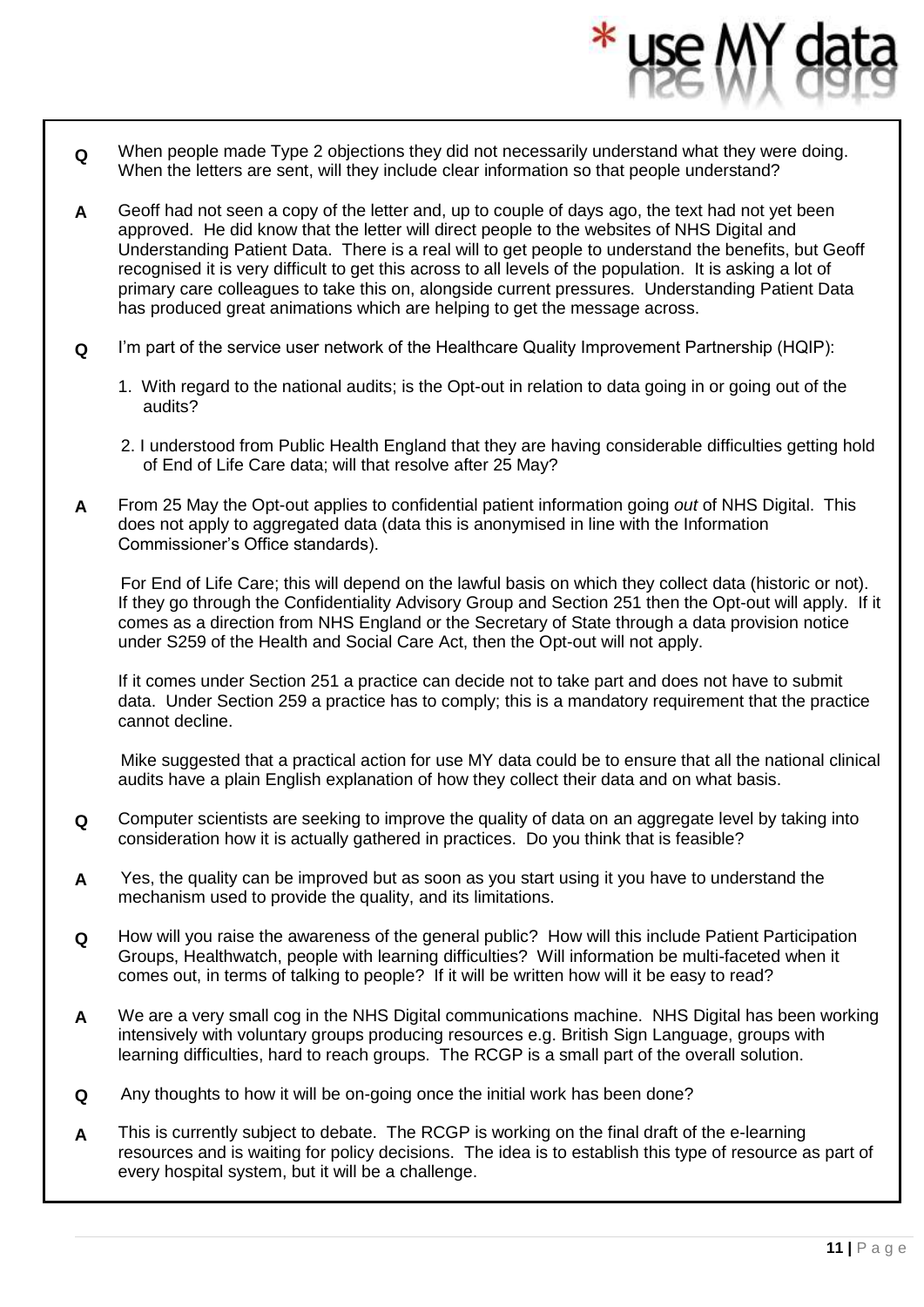- **Q** When people made Type 2 objections they did not necessarily understand what they were doing. When the letters are sent, will they include clear information so that people understand?
- **A** Geoff had not seen a copy of the letter and, up to couple of days ago, the text had not yet been approved. He did know that the letter will direct people to the websites of NHS Digital and Understanding Patient Data. There is a real will to get people to understand the benefits, but Geoff recognised it is very difficult to get this across to all levels of the population. It is asking a lot of primary care colleagues to take this on, alongside current pressures. Understanding Patient Data has produced great animations which are helping to get the message across.
- **Q** I'm part of the service user network of the Healthcare Quality Improvement Partnership (HQIP):
	- 1. With regard to the national audits; is the Opt-out in relation to data going in or going out of the audits?
	- 2. I understood from Public Health England that they are having considerable difficulties getting hold of End of Life Care data; will that resolve after 25 May?
- **A** From 25 May the Opt-out applies to confidential patient information going *out* of NHS Digital. This does not apply to aggregated data (data this is anonymised in line with the Information Commissioner's Office standards).

For End of Life Care; this will depend on the lawful basis on which they collect data (historic or not). If they go through the Confidentiality Advisory Group and Section 251 then the Opt-out will apply. If it comes as a direction from NHS England or the Secretary of State through a data provision notice under S259 of the Health and Social Care Act, then the Opt-out will not apply.

If it comes under Section 251 a practice can decide not to take part and does not have to submit data. Under Section 259 a practice has to comply; this is a mandatory requirement that the practice cannot decline.

Mike suggested that a practical action for use MY data could be to ensure that all the national clinical audits have a plain English explanation of how they collect their data and on what basis.

- **Q** Computer scientists are seeking to improve the quality of data on an aggregate level by taking into consideration how it is actually gathered in practices. Do you think that is feasible?
- **A** Yes, the quality can be improved but as soon as you start using it you have to understand the mechanism used to provide the quality, and its limitations.
- **Q** How will you raise the awareness of the general public? How will this include Patient Participation Groups, Healthwatch, people with learning difficulties? Will information be multi-faceted when it comes out, in terms of talking to people? If it will be written how will it be easy to read?
- **A** We are a very small cog in the NHS Digital communications machine. NHS Digital has been working intensively with voluntary groups producing resources e.g. British Sign Language, groups with learning difficulties, hard to reach groups. The RCGP is a small part of the overall solution.
- **Q** Any thoughts to how it will be on-going once the initial work has been done?
- **A** This is currently subject to debate. The RCGP is working on the final draft of the e-learning resources and is waiting for policy decisions. The idea is to establish this type of resource as part of every hospital system, but it will be a challenge.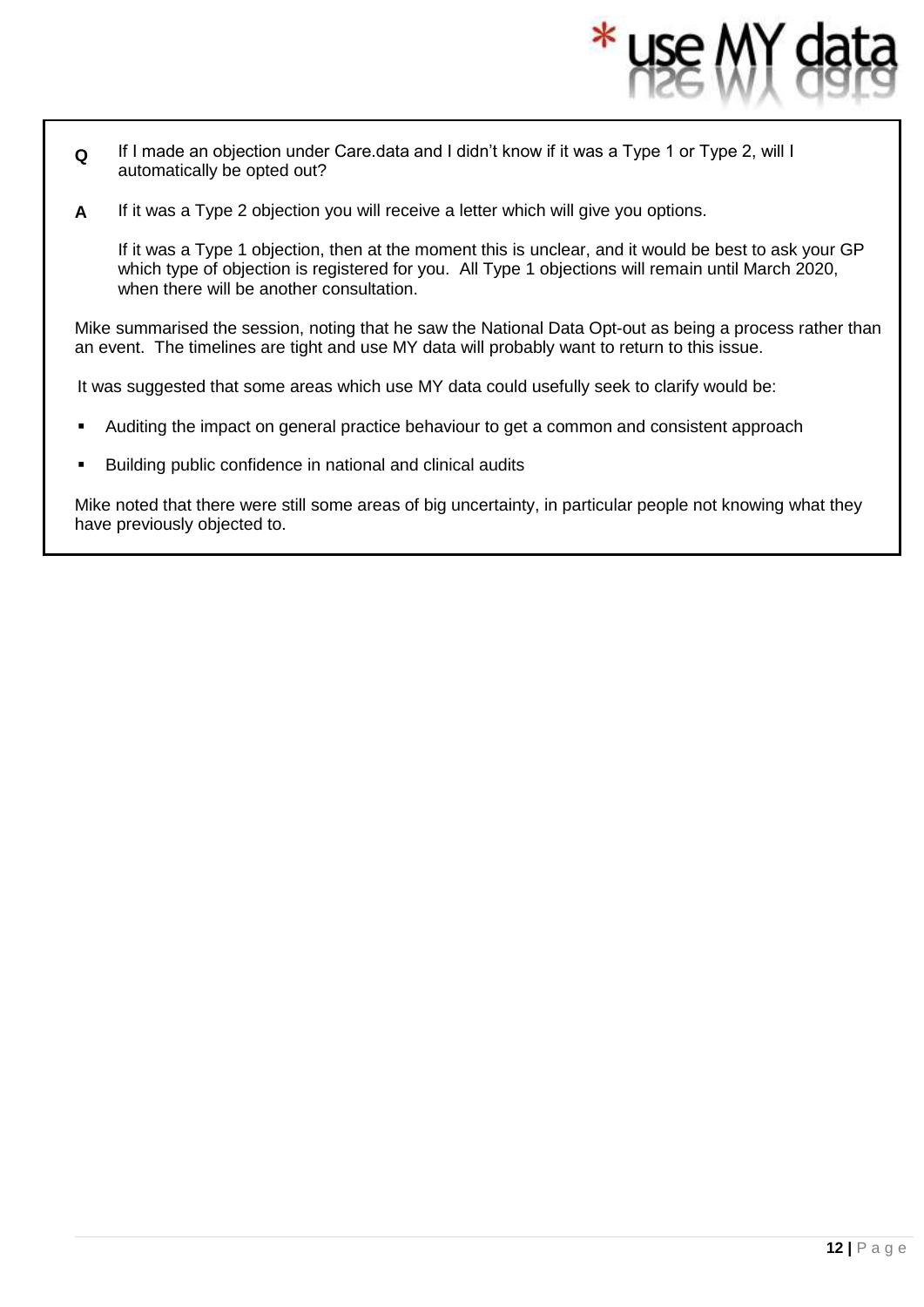- **Q** If I made an objection under Care.data and I didn't know if it was a Type 1 or Type 2, will I automatically be opted out?
- **A** If it was a Type 2 objection you will receive a letter which will give you options.

If it was a Type 1 objection, then at the moment this is unclear, and it would be best to ask your GP which type of objection is registered for you. All Type 1 objections will remain until March 2020, when there will be another consultation.

Mike summarised the session, noting that he saw the National Data Opt-out as being a process rather than an event. The timelines are tight and use MY data will probably want to return to this issue.

It was suggested that some areas which use MY data could usefully seek to clarify would be:

- Auditing the impact on general practice behaviour to get a common and consistent approach
- Building public confidence in national and clinical audits

Mike noted that there were still some areas of big uncertainty, in particular people not knowing what they have previously objected to.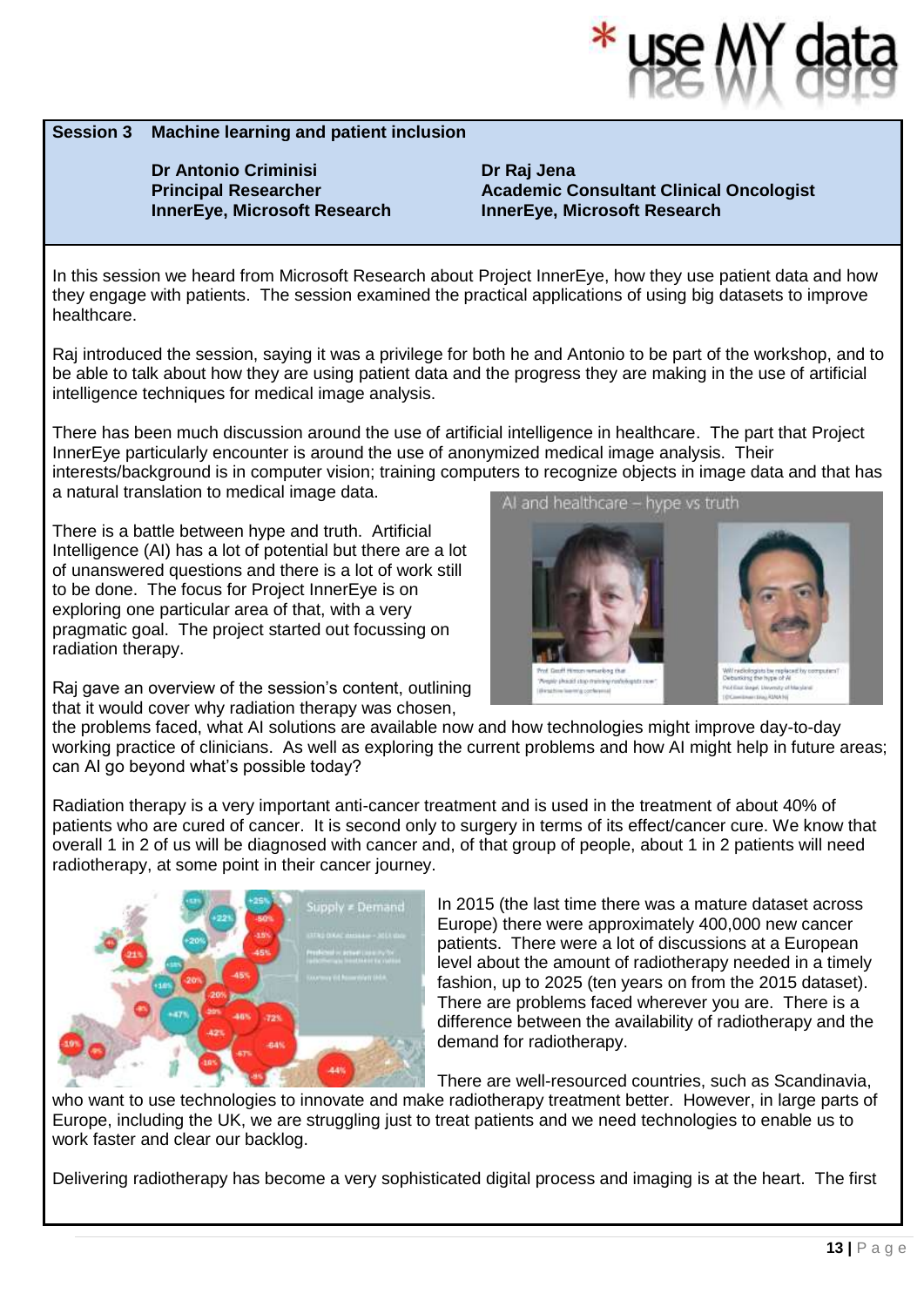

#### **Session 3 Machine learning and patient inclusion**

**Dr Antonio Criminisi Principal Researcher InnerEye, Microsoft Research**  **Dr Raj Jena Academic Consultant Clinical Oncologist InnerEye, Microsoft Research** 

In this session we heard from Microsoft Research about Project InnerEye, how they use patient data and how they engage with patients. The session examined the practical applications of using big datasets to improve healthcare.

Raj introduced the session, saying it was a privilege for both he and Antonio to be part of the workshop, and to be able to talk about how they are using patient data and the progress they are making in the use of artificial intelligence techniques for medical image analysis.

There has been much discussion around the use of artificial intelligence in healthcare. The part that Project InnerEye particularly encounter is around the use of anonymized medical image analysis. Their interests/background is in computer vision; training computers to recognize objects in image data and that has a natural translation to medical image data. AI and healthcare - hype vs truth

There is a battle between hype and truth. Artificial Intelligence (AI) has a lot of potential but there are a lot of unanswered questions and there is a lot of work still to be done. The focus for Project InnerEye is on exploring one particular area of that, with a very pragmatic goal. The project started out focussing on radiation therapy.

Raj gave an overview of the session's content, outlining that it would cover why radiation therapy was chosen,

the problems faced, what AI solutions are available now and how technologies might improve day-to-day working practice of clinicians. As well as exploring the current problems and how AI might help in future areas; can AI go beyond what's possible today?

Radiation therapy is a very important anti-cancer treatment and is used in the treatment of about 40% of patients who are cured of cancer. It is second only to surgery in terms of its effect/cancer cure. We know that overall 1 in 2 of us will be diagnosed with cancer and, of that group of people, about 1 in 2 patients will need radiotherapy, at some point in their cancer journey.



work faster and clear our backlog.

In 2015 (the last time there was a mature dataset across Europe) there were approximately 400,000 new cancer patients. There were a lot of discussions at a European level about the amount of radiotherapy needed in a timely fashion, up to 2025 (ten years on from the 2015 dataset). There are problems faced wherever you are. There is a difference between the availability of radiotherapy and the demand for radiotherapy.

There are well-resourced countries, such as Scandinavia, who want to use technologies to innovate and make radiotherapy treatment better. However, in large parts of Europe, including the UK, we are struggling just to treat patients and we need technologies to enable us to

Delivering radiotherapy has become a very sophisticated digital process and imaging is at the heart. The first

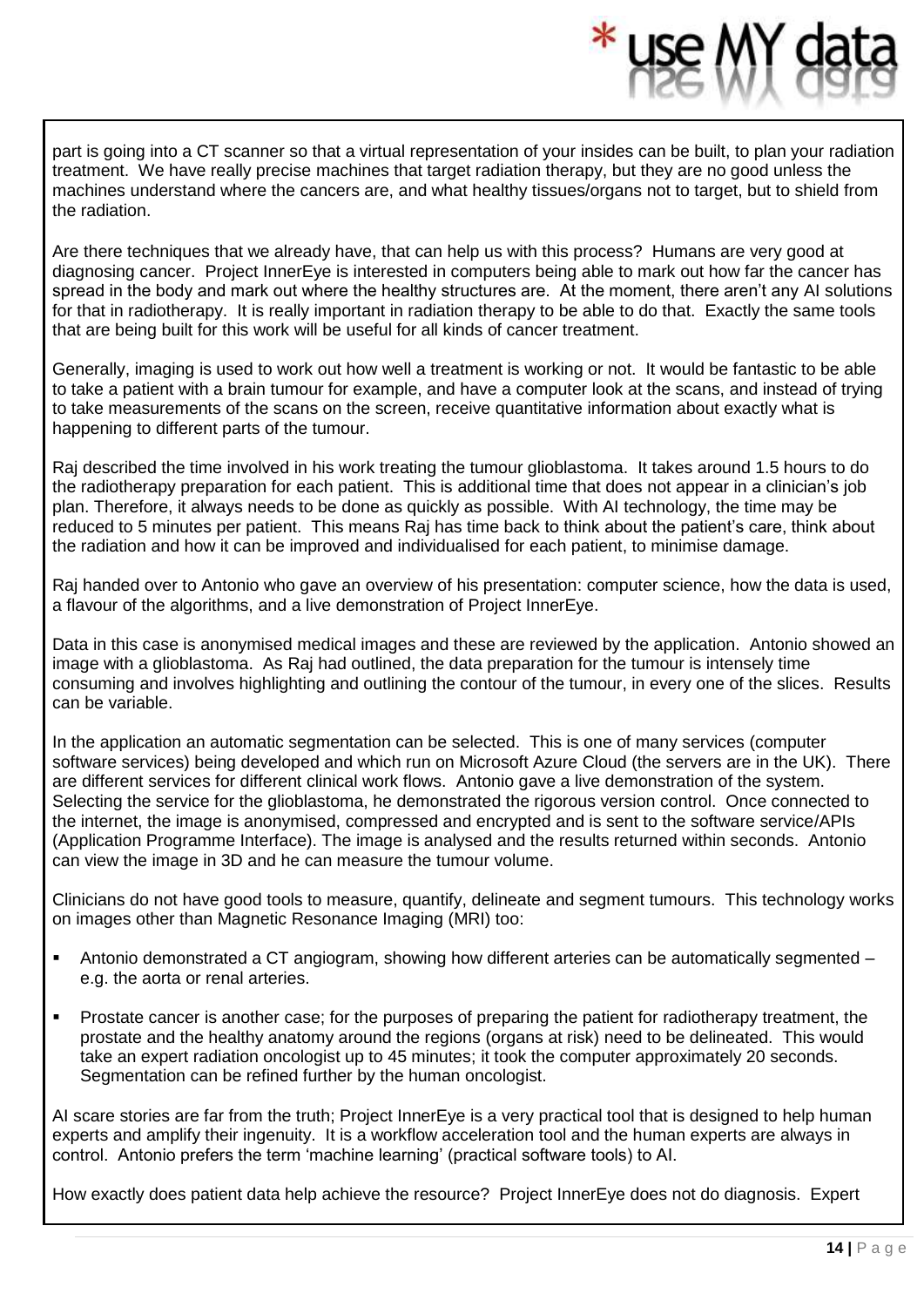part is going into a CT scanner so that a virtual representation of your insides can be built, to plan your radiation treatment. We have really precise machines that target radiation therapy, but they are no good unless the machines understand where the cancers are, and what healthy tissues/organs not to target, but to shield from the radiation.

Are there techniques that we already have, that can help us with this process? Humans are very good at diagnosing cancer. Project InnerEye is interested in computers being able to mark out how far the cancer has spread in the body and mark out where the healthy structures are. At the moment, there aren't any AI solutions for that in radiotherapy. It is really important in radiation therapy to be able to do that. Exactly the same tools that are being built for this work will be useful for all kinds of cancer treatment.

Generally, imaging is used to work out how well a treatment is working or not. It would be fantastic to be able to take a patient with a brain tumour for example, and have a computer look at the scans, and instead of trying to take measurements of the scans on the screen, receive quantitative information about exactly what is happening to different parts of the tumour.

Raj described the time involved in his work treating the tumour glioblastoma. It takes around 1.5 hours to do the radiotherapy preparation for each patient. This is additional time that does not appear in a clinician's job plan. Therefore, it always needs to be done as quickly as possible. With AI technology, the time may be reduced to 5 minutes per patient. This means Raj has time back to think about the patient's care, think about the radiation and how it can be improved and individualised for each patient, to minimise damage.

Raj handed over to Antonio who gave an overview of his presentation: computer science, how the data is used, a flavour of the algorithms, and a live demonstration of Project InnerEye.

Data in this case is anonymised medical images and these are reviewed by the application. Antonio showed an image with a glioblastoma. As Raj had outlined, the data preparation for the tumour is intensely time consuming and involves highlighting and outlining the contour of the tumour, in every one of the slices. Results can be variable.

In the application an automatic segmentation can be selected. This is one of many services (computer software services) being developed and which run on Microsoft Azure Cloud (the servers are in the UK). There are different services for different clinical work flows. Antonio gave a live demonstration of the system. Selecting the service for the glioblastoma, he demonstrated the rigorous version control. Once connected to the internet, the image is anonymised, compressed and encrypted and is sent to the software service/APIs (Application Programme Interface). The image is analysed and the results returned within seconds. Antonio can view the image in 3D and he can measure the tumour volume.

Clinicians do not have good tools to measure, quantify, delineate and segment tumours. This technology works on images other than Magnetic Resonance Imaging (MRI) too:

- Antonio demonstrated a CT angiogram, showing how different arteries can be automatically segmented e.g. the aorta or renal arteries.
- Prostate cancer is another case; for the purposes of preparing the patient for radiotherapy treatment, the prostate and the healthy anatomy around the regions (organs at risk) need to be delineated. This would take an expert radiation oncologist up to 45 minutes; it took the computer approximately 20 seconds. Segmentation can be refined further by the human oncologist.

AI scare stories are far from the truth; Project InnerEye is a very practical tool that is designed to help human experts and amplify their ingenuity. It is a workflow acceleration tool and the human experts are always in control. Antonio prefers the term 'machine learning' (practical software tools) to AI.

How exactly does patient data help achieve the resource? Project InnerEye does not do diagnosis. Expert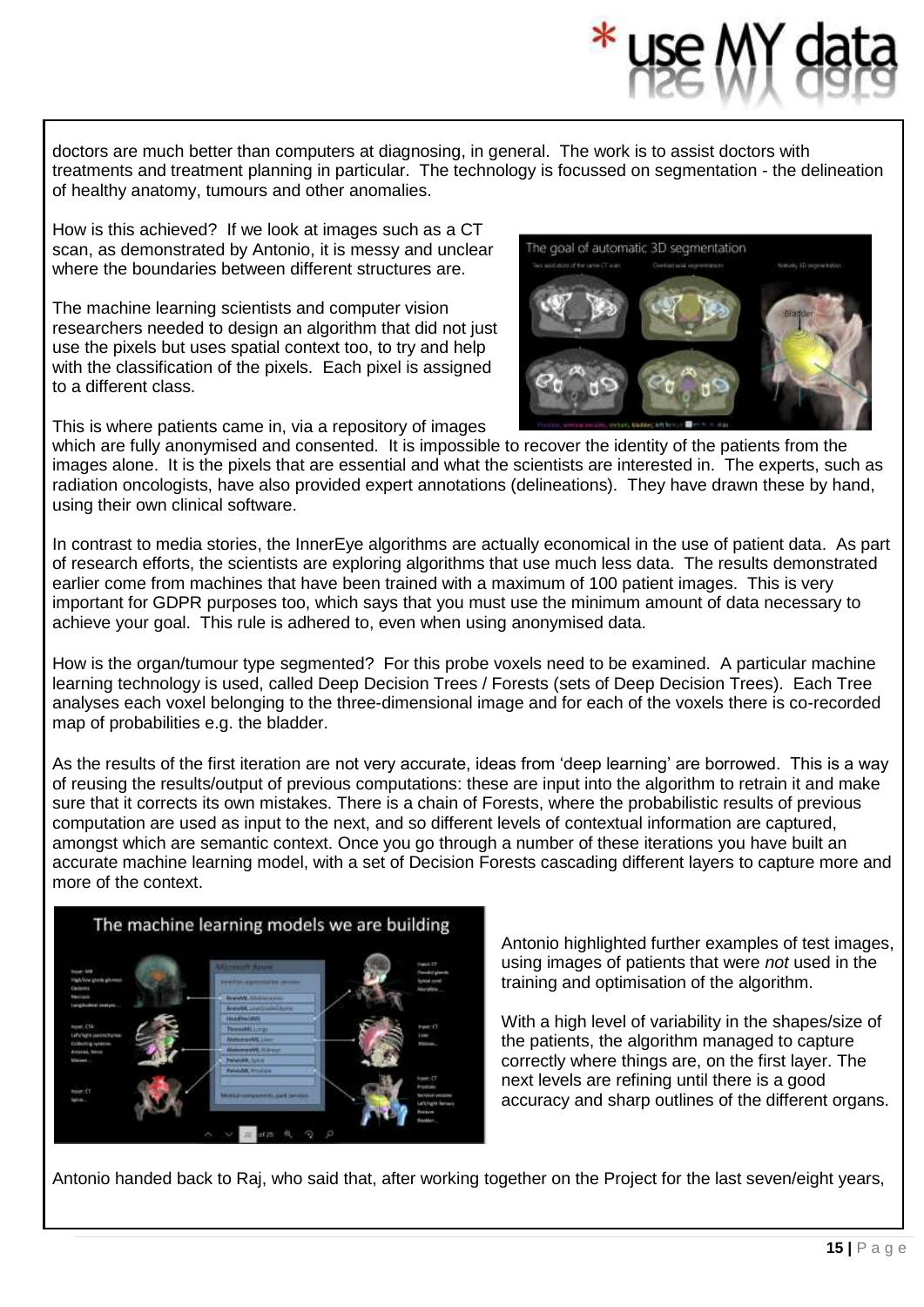doctors are much better than computers at diagnosing, in general. The work is to assist doctors with treatments and treatment planning in particular. The technology is focussed on segmentation - the delineation of healthy anatomy, tumours and other anomalies.

How is this achieved? If we look at images such as a CT scan, as demonstrated by Antonio, it is messy and unclear where the boundaries between different structures are.

The machine learning scientists and computer vision researchers needed to design an algorithm that did not just use the pixels but uses spatial context too, to try and help with the classification of the pixels. Each pixel is assigned to a different class.

This is where patients came in, via a repository of images

which are fully anonymised and consented. It is impossible to recover the identity of the patients from the images alone. It is the pixels that are essential and what the scientists are interested in. The experts, such as radiation oncologists, have also provided expert annotations (delineations). They have drawn these by hand, using their own clinical software.

In contrast to media stories, the InnerEye algorithms are actually economical in the use of patient data. As part of research efforts, the scientists are exploring algorithms that use much less data. The results demonstrated earlier come from machines that have been trained with a maximum of 100 patient images. This is very important for GDPR purposes too, which says that you must use the minimum amount of data necessary to achieve your goal. This rule is adhered to, even when using anonymised data.

How is the organ/tumour type segmented? For this probe voxels need to be examined. A particular machine learning technology is used, called Deep Decision Trees / Forests (sets of Deep Decision Trees). Each Tree analyses each voxel belonging to the three-dimensional image and for each of the voxels there is co-recorded map of probabilities e.g. the bladder.

As the results of the first iteration are not very accurate, ideas from 'deep learning' are borrowed. This is a way of reusing the results/output of previous computations: these are input into the algorithm to retrain it and make sure that it corrects its own mistakes. There is a chain of Forests, where the probabilistic results of previous computation are used as input to the next, and so different levels of contextual information are captured, amongst which are semantic context. Once you go through a number of these iterations you have built an accurate machine learning model, with a set of Decision Forests cascading different layers to capture more and more of the context.



Antonio highlighted further examples of test images, using images of patients that were *not* used in the training and optimisation of the algorithm.

With a high level of variability in the shapes/size of the patients, the algorithm managed to capture correctly where things are, on the first layer. The next levels are refining until there is a good accuracy and sharp outlines of the different organs.

Antonio handed back to Raj, who said that, after working together on the Project for the last seven/eight years,



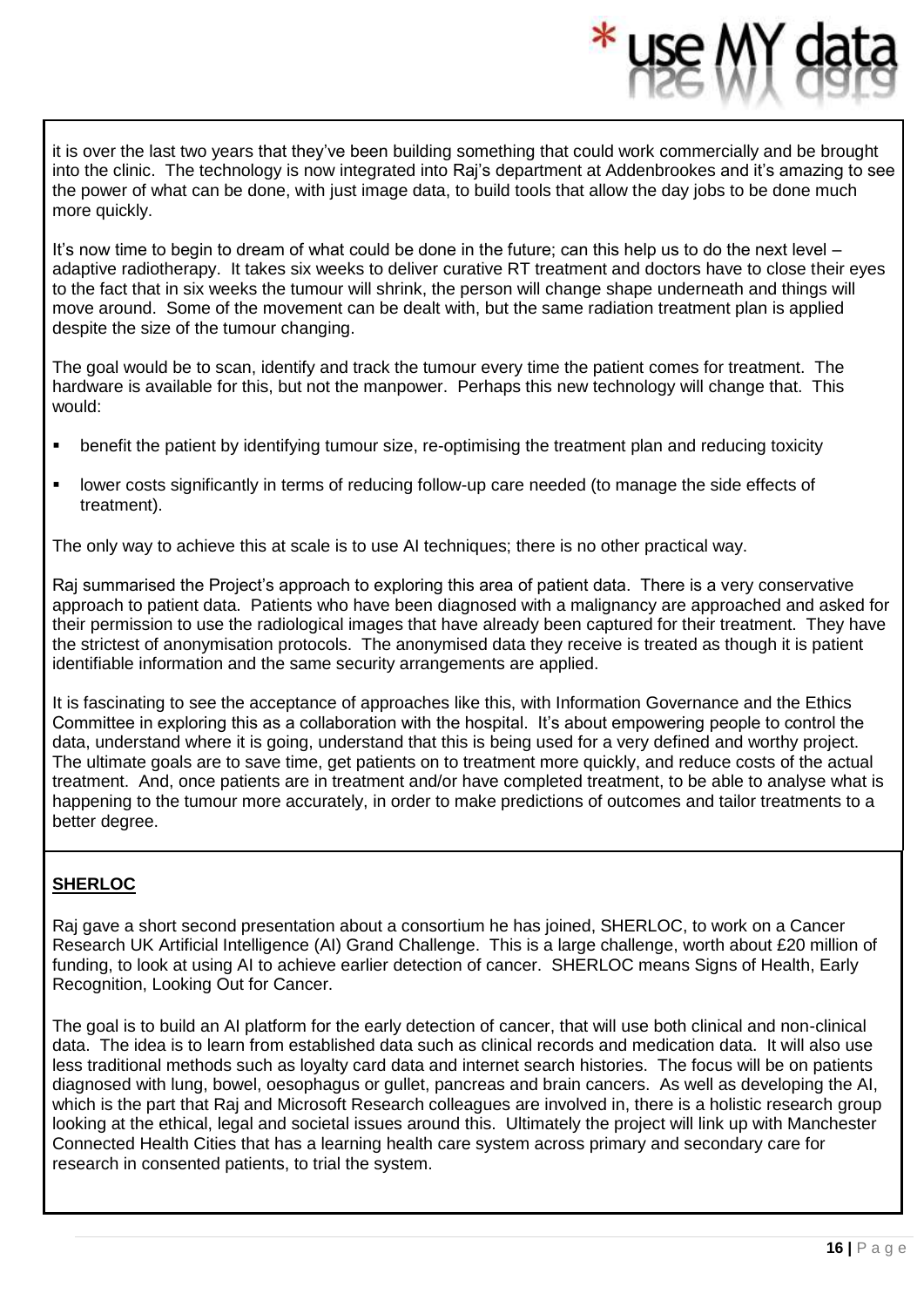it is over the last two years that they've been building something that could work commercially and be brought into the clinic. The technology is now integrated into Raj's department at Addenbrookes and it's amazing to see the power of what can be done, with just image data, to build tools that allow the day jobs to be done much more quickly.

It's now time to begin to dream of what could be done in the future; can this help us to do the next level – adaptive radiotherapy. It takes six weeks to deliver curative RT treatment and doctors have to close their eyes to the fact that in six weeks the tumour will shrink, the person will change shape underneath and things will move around. Some of the movement can be dealt with, but the same radiation treatment plan is applied despite the size of the tumour changing.

The goal would be to scan, identify and track the tumour every time the patient comes for treatment. The hardware is available for this, but not the manpower. Perhaps this new technology will change that. This would:

- benefit the patient by identifying tumour size, re-optimising the treatment plan and reducing toxicity
- lower costs significantly in terms of reducing follow-up care needed (to manage the side effects of treatment).

The only way to achieve this at scale is to use AI techniques; there is no other practical way.

Raj summarised the Project's approach to exploring this area of patient data. There is a very conservative approach to patient data. Patients who have been diagnosed with a malignancy are approached and asked for their permission to use the radiological images that have already been captured for their treatment. They have the strictest of anonymisation protocols. The anonymised data they receive is treated as though it is patient identifiable information and the same security arrangements are applied.

It is fascinating to see the acceptance of approaches like this, with Information Governance and the Ethics Committee in exploring this as a collaboration with the hospital. It's about empowering people to control the data, understand where it is going, understand that this is being used for a very defined and worthy project. The ultimate goals are to save time, get patients on to treatment more quickly, and reduce costs of the actual treatment. And, once patients are in treatment and/or have completed treatment, to be able to analyse what is happening to the tumour more accurately, in order to make predictions of outcomes and tailor treatments to a better degree.

#### **SHERLOC**

Raj gave a short second presentation about a consortium he has joined, SHERLOC, to work on a Cancer Research UK Artificial Intelligence (AI) Grand Challenge. This is a large challenge, worth about £20 million of funding, to look at using AI to achieve earlier detection of cancer. SHERLOC means Signs of Health, Early Recognition, Looking Out for Cancer.

The goal is to build an AI platform for the early detection of cancer, that will use both clinical and non-clinical data. The idea is to learn from established data such as clinical records and medication data. It will also use less traditional methods such as loyalty card data and internet search histories. The focus will be on patients diagnosed with lung, bowel, oesophagus or gullet, pancreas and brain cancers. As well as developing the AI, which is the part that Raj and Microsoft Research colleagues are involved in, there is a holistic research group looking at the ethical, legal and societal issues around this. Ultimately the project will link up with Manchester Connected Health Cities that has a learning health care system across primary and secondary care for research in consented patients, to trial the system.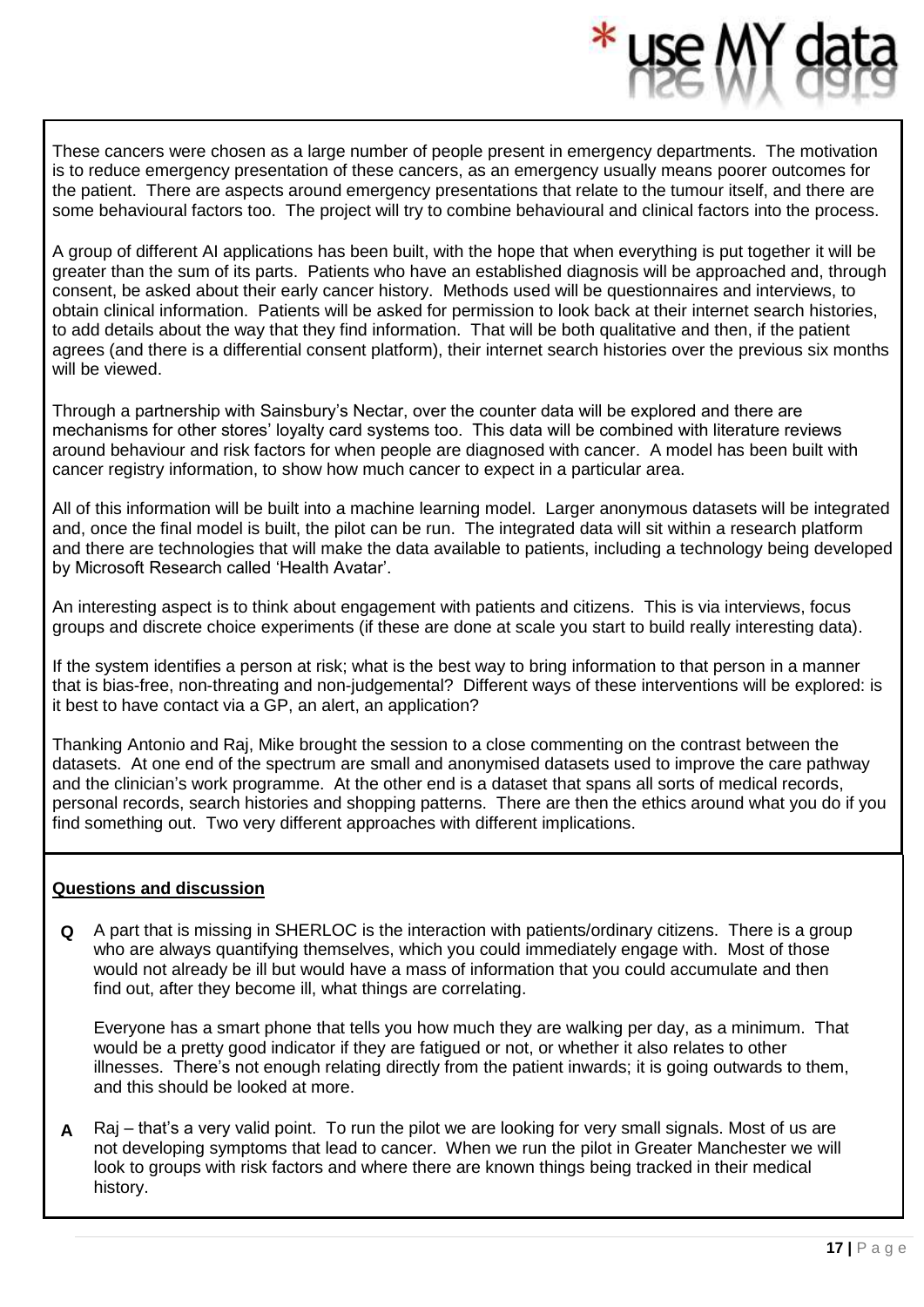These cancers were chosen as a large number of people present in emergency departments. The motivation is to reduce emergency presentation of these cancers, as an emergency usually means poorer outcomes for the patient. There are aspects around emergency presentations that relate to the tumour itself, and there are some behavioural factors too. The project will try to combine behavioural and clinical factors into the process.

A group of different AI applications has been built, with the hope that when everything is put together it will be greater than the sum of its parts. Patients who have an established diagnosis will be approached and, through consent, be asked about their early cancer history. Methods used will be questionnaires and interviews, to obtain clinical information. Patients will be asked for permission to look back at their internet search histories, to add details about the way that they find information. That will be both qualitative and then, if the patient agrees (and there is a differential consent platform), their internet search histories over the previous six months will be viewed.

Through a partnership with Sainsbury's Nectar, over the counter data will be explored and there are mechanisms for other stores' loyalty card systems too. This data will be combined with literature reviews around behaviour and risk factors for when people are diagnosed with cancer. A model has been built with cancer registry information, to show how much cancer to expect in a particular area.

All of this information will be built into a machine learning model. Larger anonymous datasets will be integrated and, once the final model is built, the pilot can be run. The integrated data will sit within a research platform and there are technologies that will make the data available to patients, including a technology being developed by Microsoft Research called 'Health Avatar'.

An interesting aspect is to think about engagement with patients and citizens. This is via interviews, focus groups and discrete choice experiments (if these are done at scale you start to build really interesting data).

If the system identifies a person at risk; what is the best way to bring information to that person in a manner that is bias-free, non-threating and non-judgemental? Different ways of these interventions will be explored: is it best to have contact via a GP, an alert, an application?

Thanking Antonio and Raj, Mike brought the session to a close commenting on the contrast between the datasets. At one end of the spectrum are small and anonymised datasets used to improve the care pathway and the clinician's work programme. At the other end is a dataset that spans all sorts of medical records, personal records, search histories and shopping patterns. There are then the ethics around what you do if you find something out. Two very different approaches with different implications.

#### **Questions and discussion**

**Q** A part that is missing in SHERLOC is the interaction with patients/ordinary citizens. There is a group who are always quantifying themselves, which you could immediately engage with. Most of those would not already be ill but would have a mass of information that you could accumulate and then find out, after they become ill, what things are correlating.

Everyone has a smart phone that tells you how much they are walking per day, as a minimum. That would be a pretty good indicator if they are fatigued or not, or whether it also relates to other illnesses. There's not enough relating directly from the patient inwards; it is going outwards to them, and this should be looked at more.

**A** Raj – that's a very valid point. To run the pilot we are looking for very small signals. Most of us are not developing symptoms that lead to cancer. When we run the pilot in Greater Manchester we will look to groups with risk factors and where there are known things being tracked in their medical history.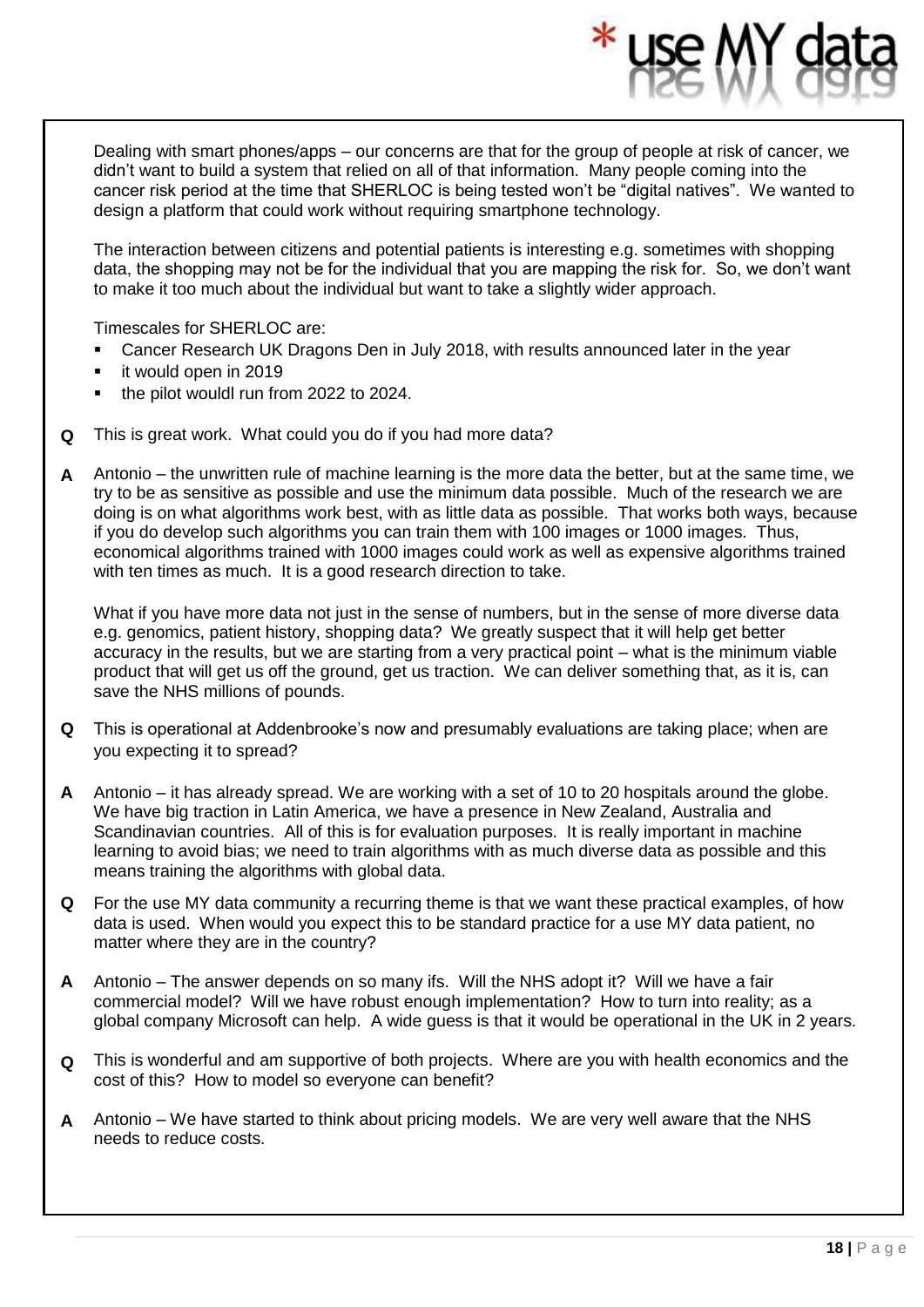Dealing with smart phones/apps – our concerns are that for the group of people at risk of cancer, we didn't want to build a system that relied on all of that information. Many people coming into the cancer risk period at the time that SHERLOC is being tested won't be "digital natives". We wanted to design a platform that could work without requiring smartphone technology.

The interaction between citizens and potential patients is interesting e.g. sometimes with shopping data, the shopping may not be for the individual that you are mapping the risk for. So, we don't want to make it too much about the individual but want to take a slightly wider approach.

Timescales for SHERLOC are:

- Cancer Research UK Dragons Den in July 2018, with results announced later in the year
- it would open in 2019
- the pilot wouldl run from 2022 to 2024.
- **Q** This is great work. What could you do if you had more data?
- **A** Antonio the unwritten rule of machine learning is the more data the better, but at the same time, we try to be as sensitive as possible and use the minimum data possible. Much of the research we are doing is on what algorithms work best, with as little data as possible. That works both ways, because if you do develop such algorithms you can train them with 100 images or 1000 images. Thus, economical algorithms trained with 1000 images could work as well as expensive algorithms trained with ten times as much. It is a good research direction to take.

What if you have more data not just in the sense of numbers, but in the sense of more diverse data e.g. genomics, patient history, shopping data? We greatly suspect that it will help get better accuracy in the results, but we are starting from a very practical point – what is the minimum viable product that will get us off the ground, get us traction. We can deliver something that, as it is, can save the NHS millions of pounds.

- **Q** This is operational at Addenbrooke's now and presumably evaluations are taking place; when are you expecting it to spread?
- **A** Antonio it has already spread. We are working with a set of 10 to 20 hospitals around the globe. We have big traction in Latin America, we have a presence in New Zealand, Australia and Scandinavian countries. All of this is for evaluation purposes. It is really important in machine learning to avoid bias; we need to train algorithms with as much diverse data as possible and this means training the algorithms with global data.
- **Q** For the use MY data community a recurring theme is that we want these practical examples, of how data is used. When would you expect this to be standard practice for a use MY data patient, no matter where they are in the country?
- **A** Antonio The answer depends on so many ifs. Will the NHS adopt it? Will we have a fair commercial model? Will we have robust enough implementation? How to turn into reality; as a global company Microsoft can help. A wide guess is that it would be operational in the UK in 2 years.
- **Q** This is wonderful and am supportive of both projects. Where are you with health economics and the cost of this? How to model so everyone can benefit?
- **A** Antonio We have started to think about pricing models. We are very well aware that the NHS needs to reduce costs.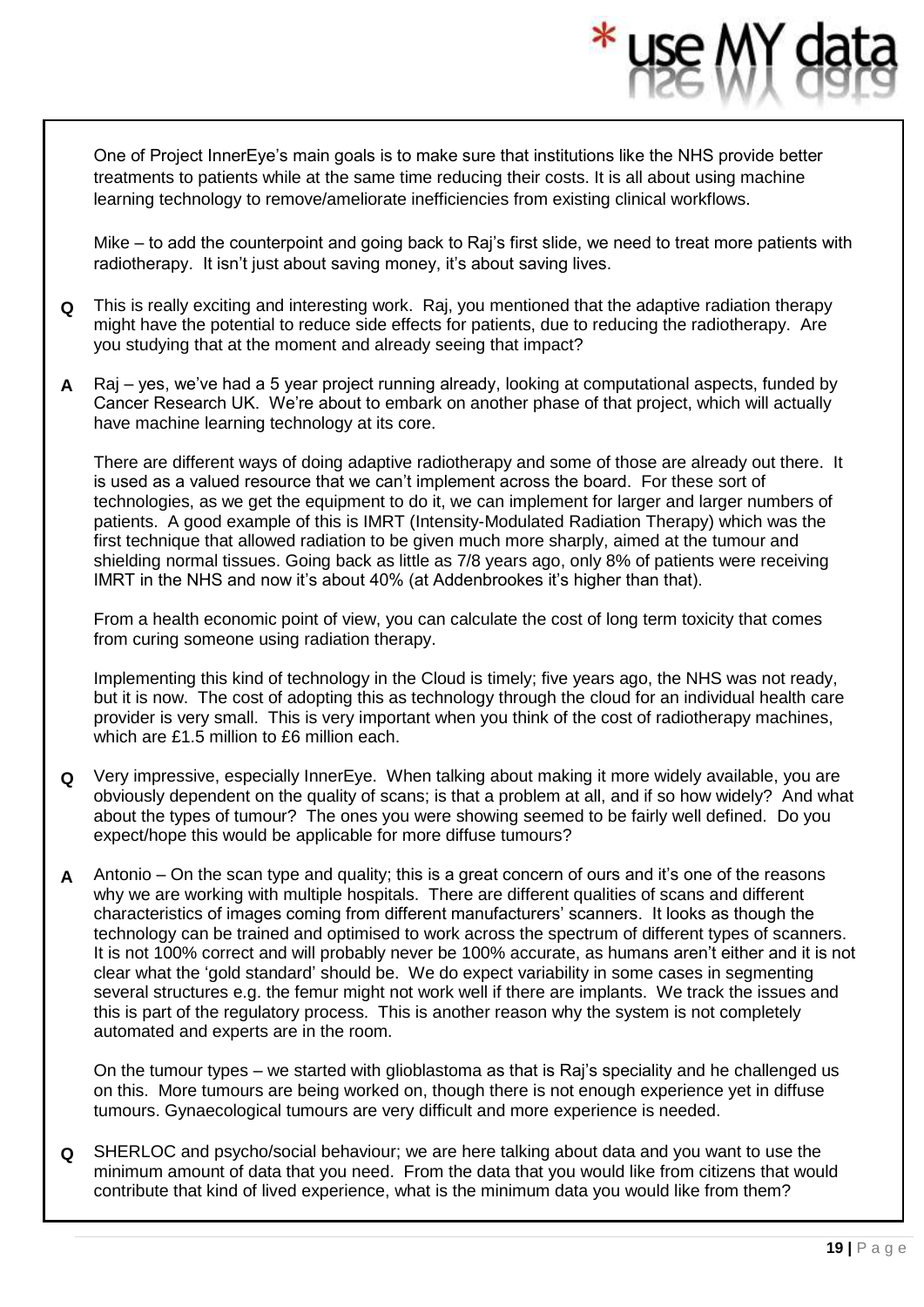One of Project InnerEye's main goals is to make sure that institutions like the NHS provide better treatments to patients while at the same time reducing their costs. It is all about using machine learning technology to remove/ameliorate inefficiencies from existing clinical workflows.

Mike – to add the counterpoint and going back to Raj's first slide, we need to treat more patients with radiotherapy. It isn't just about saving money, it's about saving lives.

- **Q** This is really exciting and interesting work. Raj, you mentioned that the adaptive radiation therapy might have the potential to reduce side effects for patients, due to reducing the radiotherapy. Are you studying that at the moment and already seeing that impact?
- **A** Raj yes, we've had a 5 year project running already, looking at computational aspects, funded by Cancer Research UK. We're about to embark on another phase of that project, which will actually have machine learning technology at its core.

There are different ways of doing adaptive radiotherapy and some of those are already out there. It is used as a valued resource that we can't implement across the board. For these sort of technologies, as we get the equipment to do it, we can implement for larger and larger numbers of patients. A good example of this is IMRT (Intensity-Modulated Radiation Therapy) which was the first technique that allowed radiation to be given much more sharply, aimed at the tumour and shielding normal tissues. Going back as little as 7/8 years ago, only 8% of patients were receiving IMRT in the NHS and now it's about 40% (at Addenbrookes it's higher than that).

From a health economic point of view, you can calculate the cost of long term toxicity that comes from curing someone using radiation therapy.

Implementing this kind of technology in the Cloud is timely; five years ago, the NHS was not ready, but it is now. The cost of adopting this as technology through the cloud for an individual health care provider is very small. This is very important when you think of the cost of radiotherapy machines, which are £1.5 million to £6 million each.

- **Q** Very impressive, especially InnerEye. When talking about making it more widely available, you are obviously dependent on the quality of scans; is that a problem at all, and if so how widely? And what about the types of tumour? The ones you were showing seemed to be fairly well defined. Do you expect/hope this would be applicable for more diffuse tumours?
- **A** Antonio On the scan type and quality; this is a great concern of ours and it's one of the reasons why we are working with multiple hospitals. There are different qualities of scans and different characteristics of images coming from different manufacturers' scanners. It looks as though the technology can be trained and optimised to work across the spectrum of different types of scanners. It is not 100% correct and will probably never be 100% accurate, as humans aren't either and it is not clear what the 'gold standard' should be. We do expect variability in some cases in segmenting several structures e.g. the femur might not work well if there are implants. We track the issues and this is part of the regulatory process. This is another reason why the system is not completely automated and experts are in the room.

On the tumour types – we started with glioblastoma as that is Raj's speciality and he challenged us on this. More tumours are being worked on, though there is not enough experience yet in diffuse tumours. Gynaecological tumours are very difficult and more experience is needed.

**Q** SHERLOC and psycho/social behaviour; we are here talking about data and you want to use the minimum amount of data that you need. From the data that you would like from citizens that would contribute that kind of lived experience, what is the minimum data you would like from them?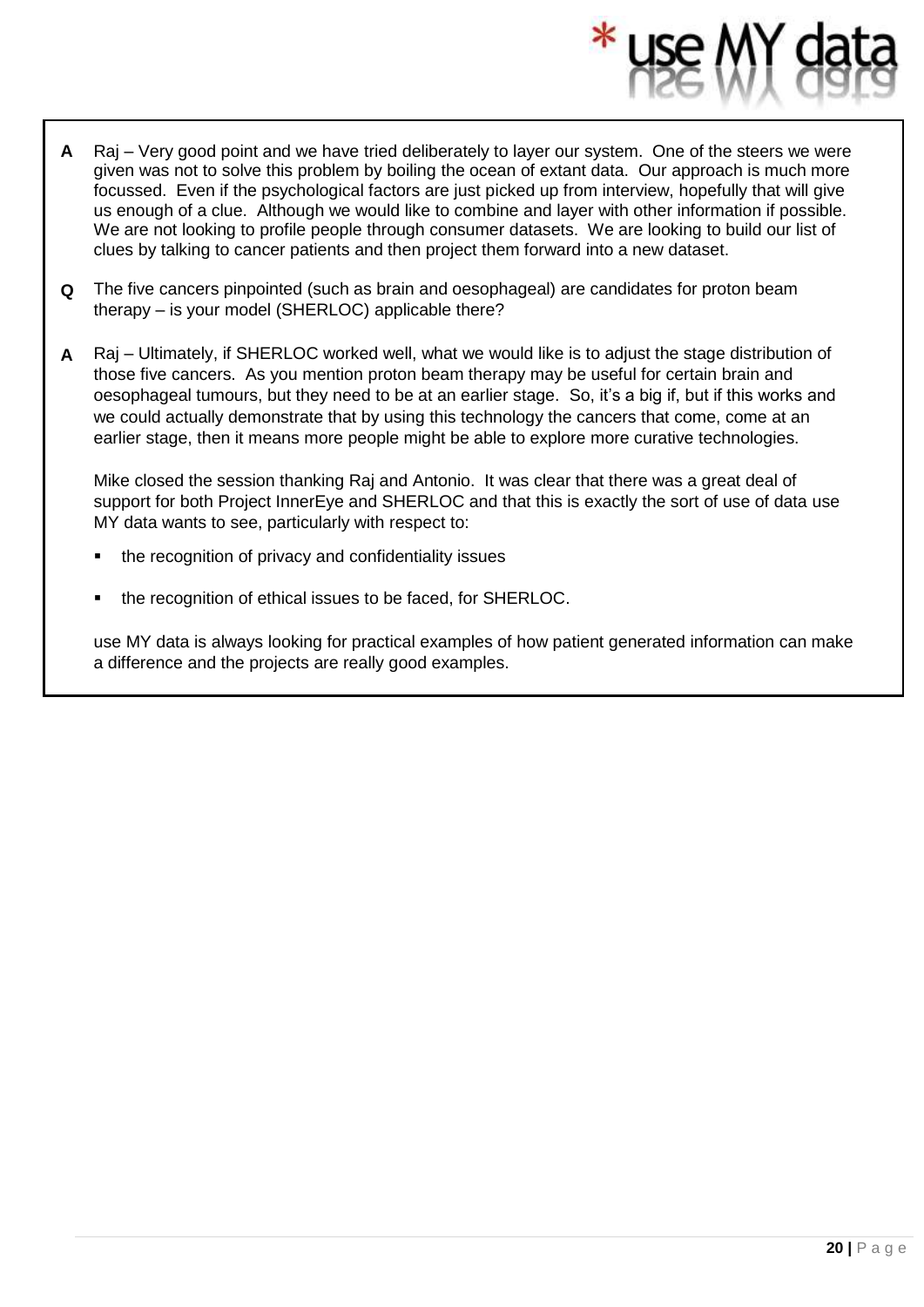- **A** Raj Very good point and we have tried deliberately to layer our system. One of the steers we were given was not to solve this problem by boiling the ocean of extant data. Our approach is much more focussed. Even if the psychological factors are just picked up from interview, hopefully that will give us enough of a clue. Although we would like to combine and layer with other information if possible. We are not looking to profile people through consumer datasets. We are looking to build our list of clues by talking to cancer patients and then project them forward into a new dataset.
- **Q** The five cancers pinpointed (such as brain and oesophageal) are candidates for proton beam therapy – is your model (SHERLOC) applicable there?
- **A** Raj Ultimately, if SHERLOC worked well, what we would like is to adjust the stage distribution of those five cancers. As you mention proton beam therapy may be useful for certain brain and oesophageal tumours, but they need to be at an earlier stage. So, it's a big if, but if this works and we could actually demonstrate that by using this technology the cancers that come, come at an earlier stage, then it means more people might be able to explore more curative technologies.

Mike closed the session thanking Raj and Antonio. It was clear that there was a great deal of support for both Project InnerEye and SHERLOC and that this is exactly the sort of use of data use MY data wants to see, particularly with respect to:

- the recognition of privacy and confidentiality issues
- the recognition of ethical issues to be faced, for SHERLOC.

use MY data is always looking for practical examples of how patient generated information can make a difference and the projects are really good examples.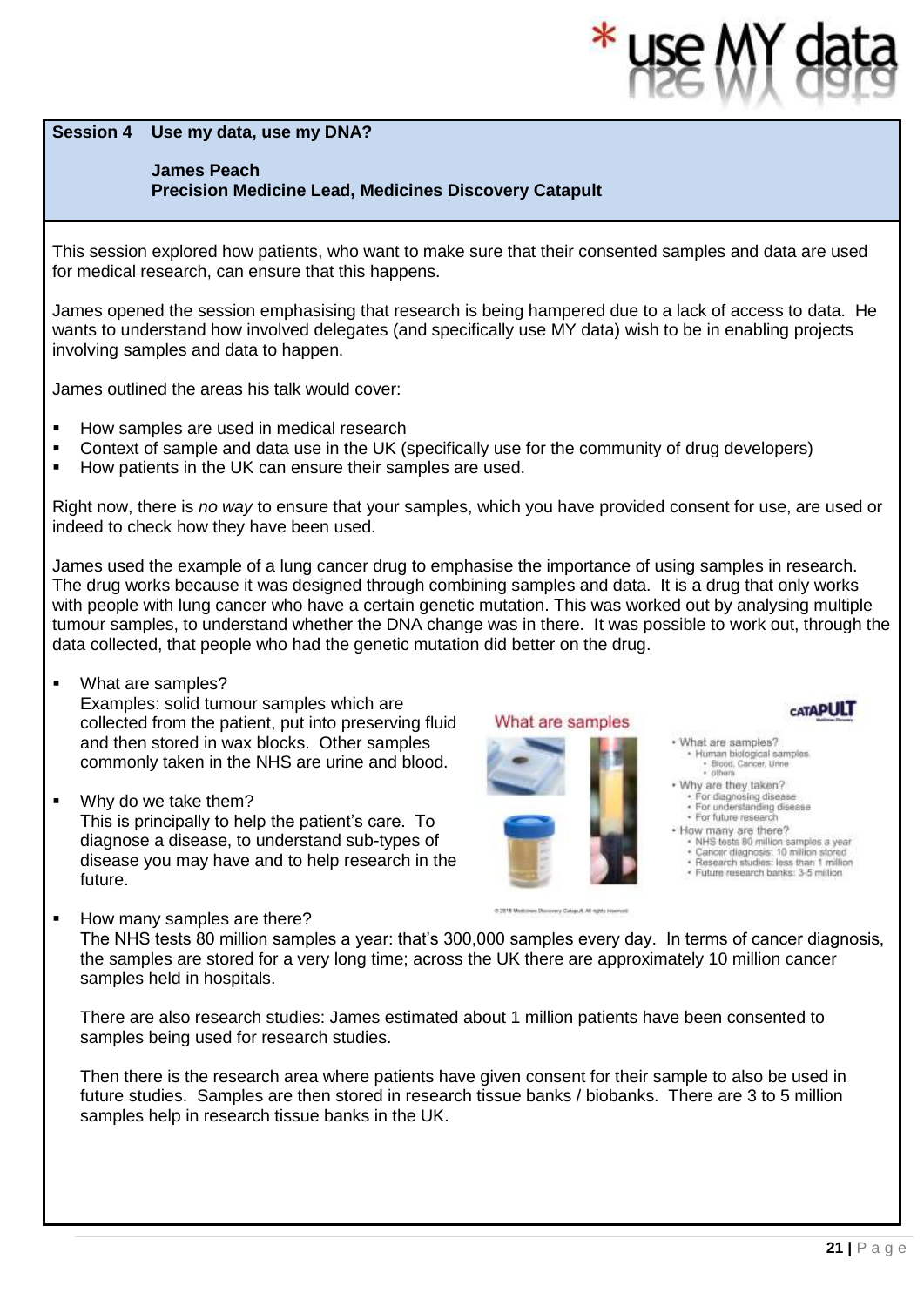**Session 4 Use my data, use my DNA?** 

#### **James Peach**

**Precision Medicine Lead, Medicines Discovery Catapult**

This session explored how patients, who want to make sure that their consented samples and data are used for medical research, can ensure that this happens.

James opened the session emphasising that research is being hampered due to a lack of access to data. He wants to understand how involved delegates (and specifically use MY data) wish to be in enabling projects involving samples and data to happen.

James outlined the areas his talk would cover:

- How samples are used in medical research
- Context of sample and data use in the UK (specifically use for the community of drug developers)
- How patients in the UK can ensure their samples are used.

Right now, there is *no way* to ensure that your samples, which you have provided consent for use, are used or indeed to check how they have been used.

James used the example of a lung cancer drug to emphasise the importance of using samples in research. The drug works because it was designed through combining samples and data. It is a drug that only works with people with lung cancer who have a certain genetic mutation. This was worked out by analysing multiple tumour samples, to understand whether the DNA change was in there. It was possible to work out, through the data collected, that people who had the genetic mutation did better on the drug.

- What are samples? Examples: solid tumour samples which are collected from the patient, put into preserving fluid and then stored in wax blocks. Other samples commonly taken in the NHS are urine and blood.
- Why do we take them? This is principally to help the patient's care. To diagnose a disease, to understand sub-types of disease you may have and to help research in the future.
- What are samples



- · What are samples? Human biological samples \* Blood, Cancer, Urin<br>\* others
- . Why are they taken? For diagnosing disease<br>For understanding disease · For future research
- · How many are there?
- NHS tests 80 million samples a year
- + Caricer diagnosis: 10 million stored<br>+ Research studies: less than 1 million
- · Future research banks: 3-5 million
- How many samples are there? The NHS tests 80 million samples a year: that's 300,000 samples every day. In terms of cancer diagnosis, the samples are stored for a very long time; across the UK there are approximately 10 million cancer samples held in hospitals.

There are also research studies: James estimated about 1 million patients have been consented to samples being used for research studies.

Then there is the research area where patients have given consent for their sample to also be used in future studies. Samples are then stored in research tissue banks / biobanks. There are 3 to 5 million samples help in research tissue banks in the UK.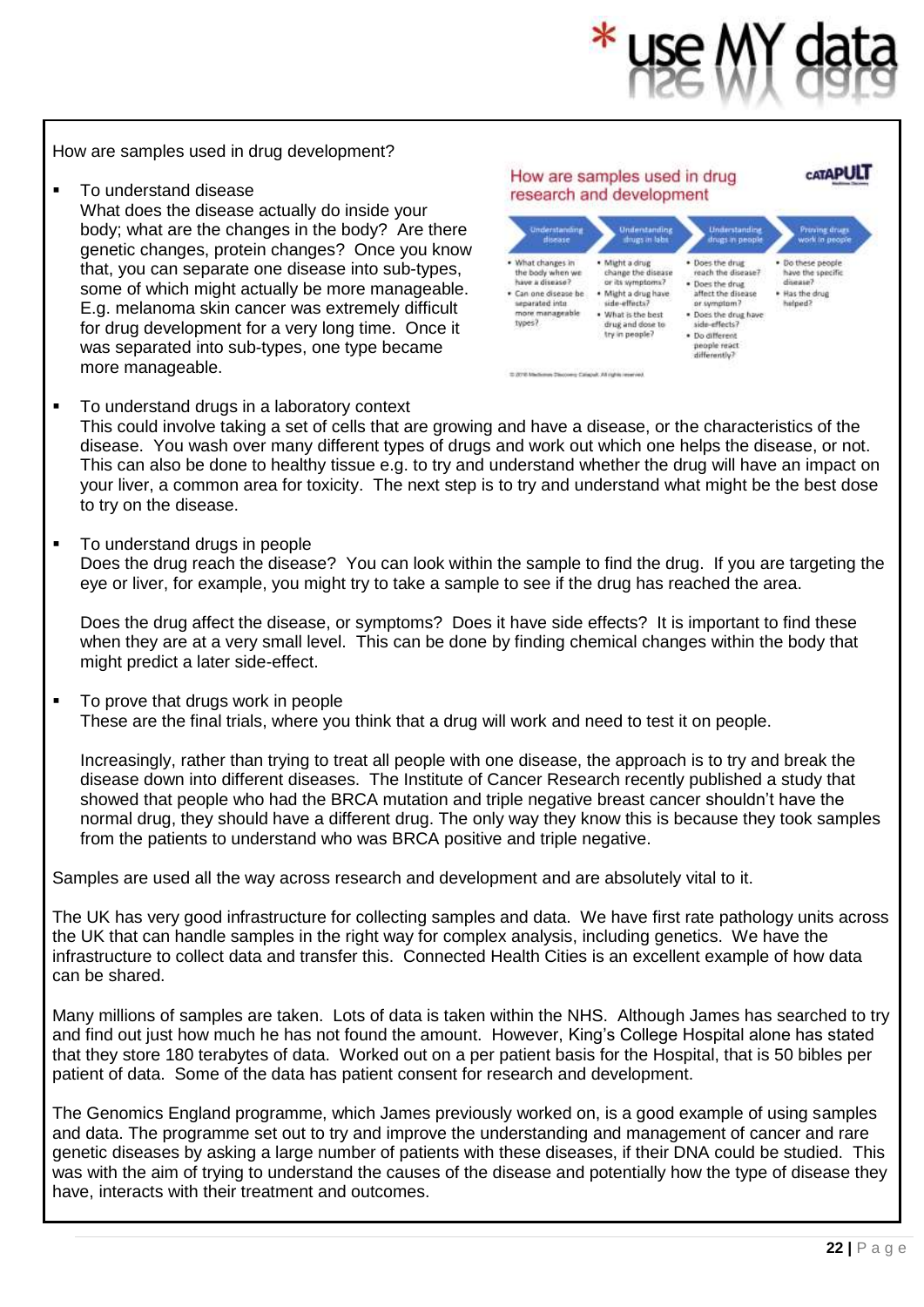

How are samples used in drug development?

■ To understand disease What does the disease actually do inside your body; what are the changes in the body? Are there genetic changes, protein changes? Once you know that, you can separate one disease into sub-types, some of which might actually be more manageable. E.g. melanoma skin cancer was extremely difficult for drug development for a very long time. Once it was separated into sub-types, one type became more manageable.



■ To understand drugs in a laboratory context

This could involve taking a set of cells that are growing and have a disease, or the characteristics of the disease. You wash over many different types of drugs and work out which one helps the disease, or not. This can also be done to healthy tissue e.g. to try and understand whether the drug will have an impact on your liver, a common area for toxicity. The next step is to try and understand what might be the best dose to try on the disease.

▪ To understand drugs in people

Does the drug reach the disease? You can look within the sample to find the drug. If you are targeting the eye or liver, for example, you might try to take a sample to see if the drug has reached the area.

Does the drug affect the disease, or symptoms? Does it have side effects? It is important to find these when they are at a very small level. This can be done by finding chemical changes within the body that might predict a later side-effect.

■ To prove that drugs work in people These are the final trials, where you think that a drug will work and need to test it on people.

Increasingly, rather than trying to treat all people with one disease, the approach is to try and break the disease down into different diseases. The Institute of Cancer Research recently published a study that showed that people who had the BRCA mutation and triple negative breast cancer shouldn't have the normal drug, they should have a different drug. The only way they know this is because they took samples from the patients to understand who was BRCA positive and triple negative.

Samples are used all the way across research and development and are absolutely vital to it.

The UK has very good infrastructure for collecting samples and data. We have first rate pathology units across the UK that can handle samples in the right way for complex analysis, including genetics. We have the infrastructure to collect data and transfer this. Connected Health Cities is an excellent example of how data can be shared.

Many millions of samples are taken. Lots of data is taken within the NHS. Although James has searched to try and find out just how much he has not found the amount. However, King's College Hospital alone has stated that they store 180 terabytes of data. Worked out on a per patient basis for the Hospital, that is 50 bibles per patient of data. Some of the data has patient consent for research and development.

The Genomics England programme, which James previously worked on, is a good example of using samples and data. The programme set out to try and improve the understanding and management of cancer and rare genetic diseases by asking a large number of patients with these diseases, if their DNA could be studied. This was with the aim of trying to understand the causes of the disease and potentially how the type of disease they have, interacts with their treatment and outcomes.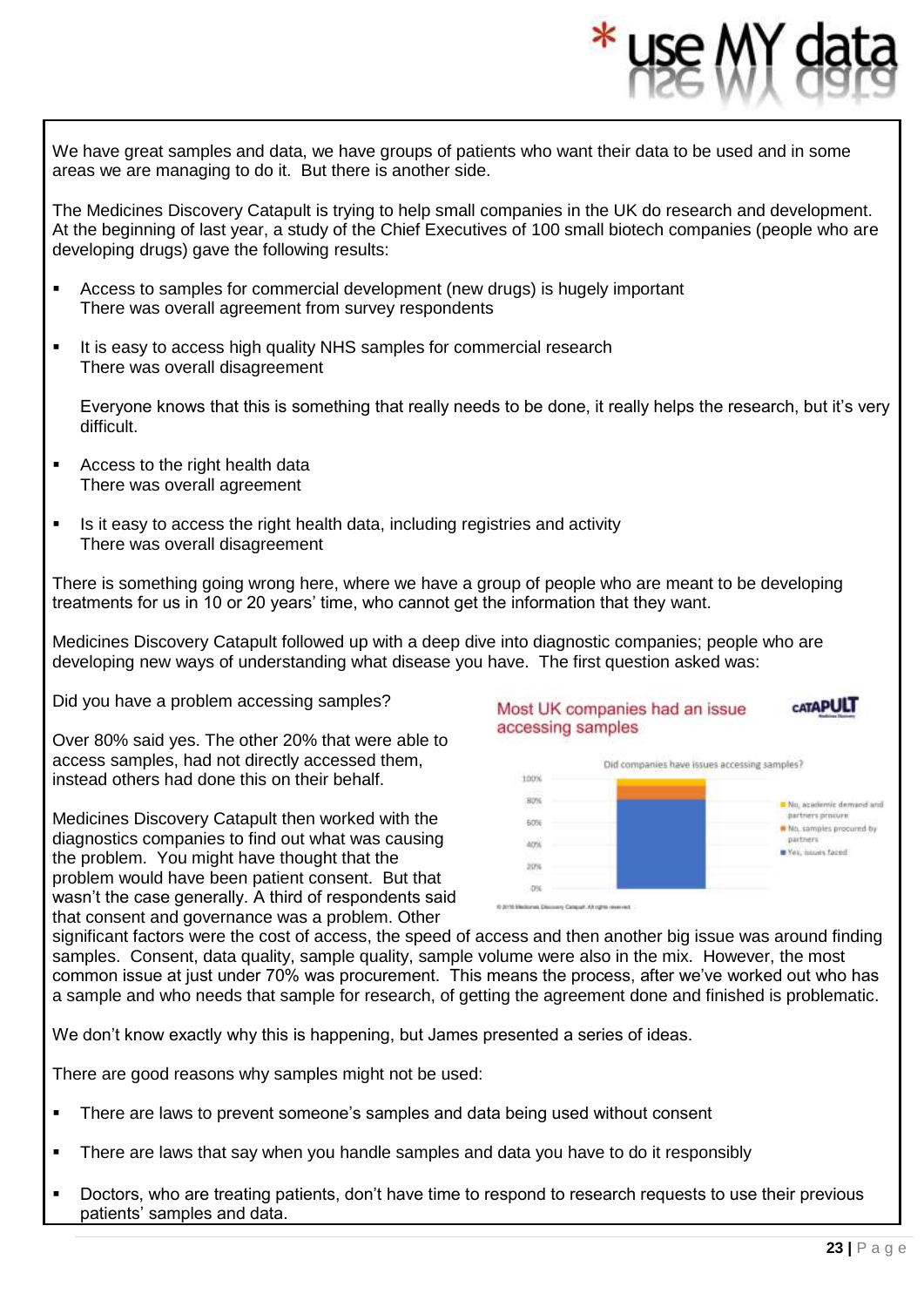We have great samples and data, we have groups of patients who want their data to be used and in some areas we are managing to do it. But there is another side.

The Medicines Discovery Catapult is trying to help small companies in the UK do research and development. At the beginning of last year, a study of the Chief Executives of 100 small biotech companies (people who are developing drugs) gave the following results:

- Access to samples for commercial development (new drugs) is hugely important There was overall agreement from survey respondents
- It is easy to access high quality NHS samples for commercial research There was overall disagreement

Everyone knows that this is something that really needs to be done, it really helps the research, but it's very difficult.

- Access to the right health data There was overall agreement
- Is it easy to access the right health data, including registries and activity There was overall disagreement

There is something going wrong here, where we have a group of people who are meant to be developing treatments for us in 10 or 20 years' time, who cannot get the information that they want.

Medicines Discovery Catapult followed up with a deep dive into diagnostic companies; people who are developing new ways of understanding what disease you have. The first question asked was:

Did you have a problem accessing samples?

Over 80% said yes. The other 20% that were able to access samples, had not directly accessed them, instead others had done this on their behalf.

Medicines Discovery Catapult then worked with the diagnostics companies to find out what was causing the problem. You might have thought that the problem would have been patient consent. But that wasn't the case generally. A third of respondents said that consent and governance was a problem. Other



significant factors were the cost of access, the speed of access and then another big issue was around finding samples. Consent, data quality, sample quality, sample volume were also in the mix. However, the most common issue at just under 70% was procurement. This means the process, after we've worked out who has a sample and who needs that sample for research, of getting the agreement done and finished is problematic.

**ON** 

We don't know exactly why this is happening, but James presented a series of ideas.

There are good reasons why samples might not be used:

- There are laws to prevent someone's samples and data being used without consent
- There are laws that say when you handle samples and data you have to do it responsibly
- Doctors, who are treating patients, don't have time to respond to research requests to use their previous patients' samples and data.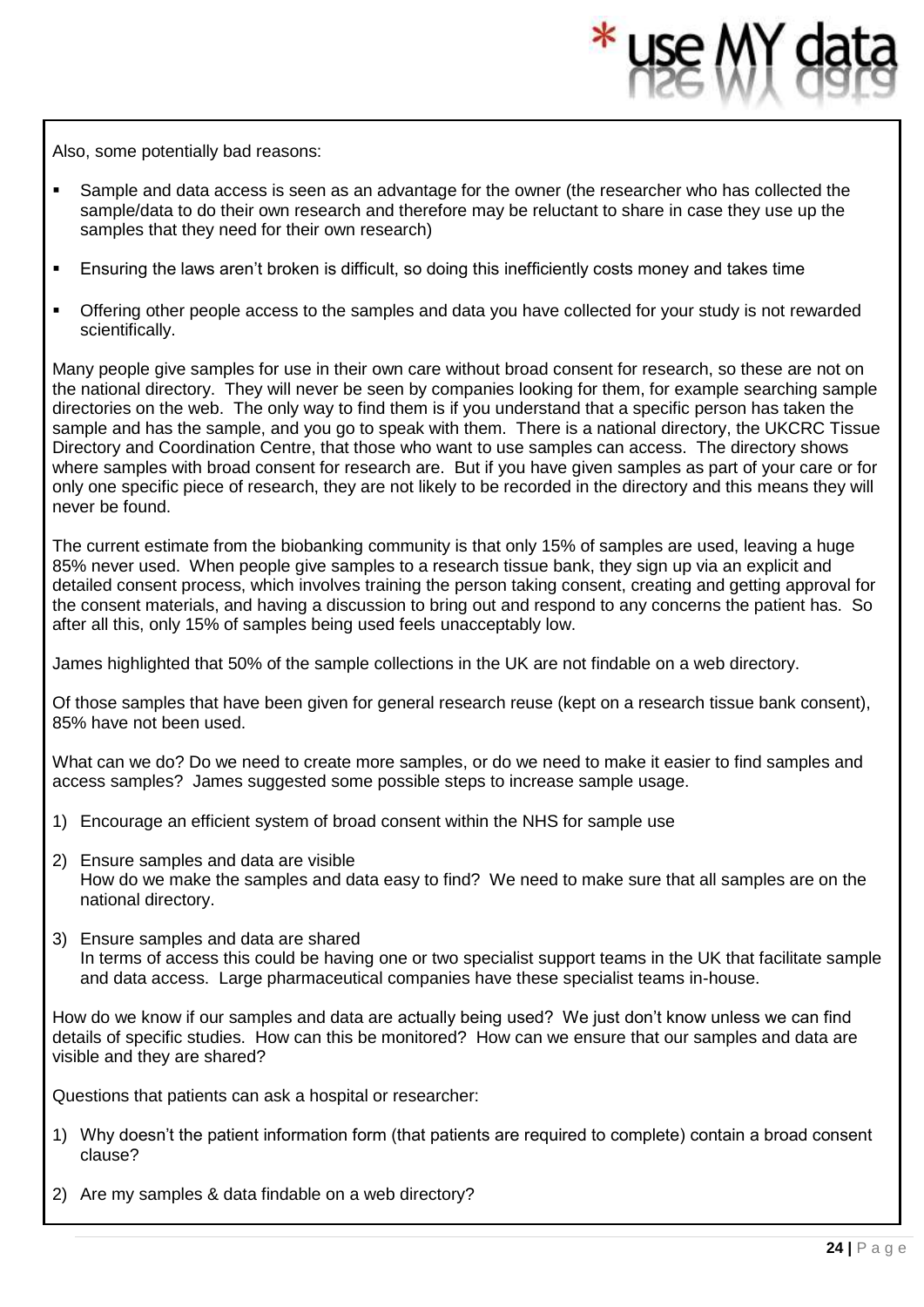Also, some potentially bad reasons:

- **EXECT** Sample and data access is seen as an advantage for the owner (the researcher who has collected the sample/data to do their own research and therefore may be reluctant to share in case they use up the samples that they need for their own research)
- **Ensuring the laws aren't broken is difficult, so doing this inefficiently costs money and takes time**
- **•** Offering other people access to the samples and data you have collected for your study is not rewarded scientifically.

Many people give samples for use in their own care without broad consent for research, so these are not on the national directory. They will never be seen by companies looking for them, for example searching sample directories on the web. The only way to find them is if you understand that a specific person has taken the sample and has the sample, and you go to speak with them. There is a national directory, the UKCRC Tissue Directory and Coordination Centre, that those who want to use samples can access. The directory shows where samples with broad consent for research are. But if you have given samples as part of your care or for only one specific piece of research, they are not likely to be recorded in the directory and this means they will never be found.

The current estimate from the biobanking community is that only 15% of samples are used, leaving a huge 85% never used. When people give samples to a research tissue bank, they sign up via an explicit and detailed consent process, which involves training the person taking consent, creating and getting approval for the consent materials, and having a discussion to bring out and respond to any concerns the patient has. So after all this, only 15% of samples being used feels unacceptably low.

James highlighted that 50% of the sample collections in the UK are not findable on a web directory.

Of those samples that have been given for general research reuse (kept on a research tissue bank consent), 85% have not been used.

What can we do? Do we need to create more samples, or do we need to make it easier to find samples and access samples? James suggested some possible steps to increase sample usage.

- 1) Encourage an efficient system of broad consent within the NHS for sample use
- 2) Ensure samples and data are visible How do we make the samples and data easy to find? We need to make sure that all samples are on the national directory.
- 3) Ensure samples and data are shared In terms of access this could be having one or two specialist support teams in the UK that facilitate sample and data access. Large pharmaceutical companies have these specialist teams in-house.

How do we know if our samples and data are actually being used? We just don't know unless we can find details of specific studies. How can this be monitored? How can we ensure that our samples and data are visible and they are shared?

Questions that patients can ask a hospital or researcher:

- 1) Why doesn't the patient information form (that patients are required to complete) contain a broad consent clause?
- 2) Are my samples & data findable on a web directory?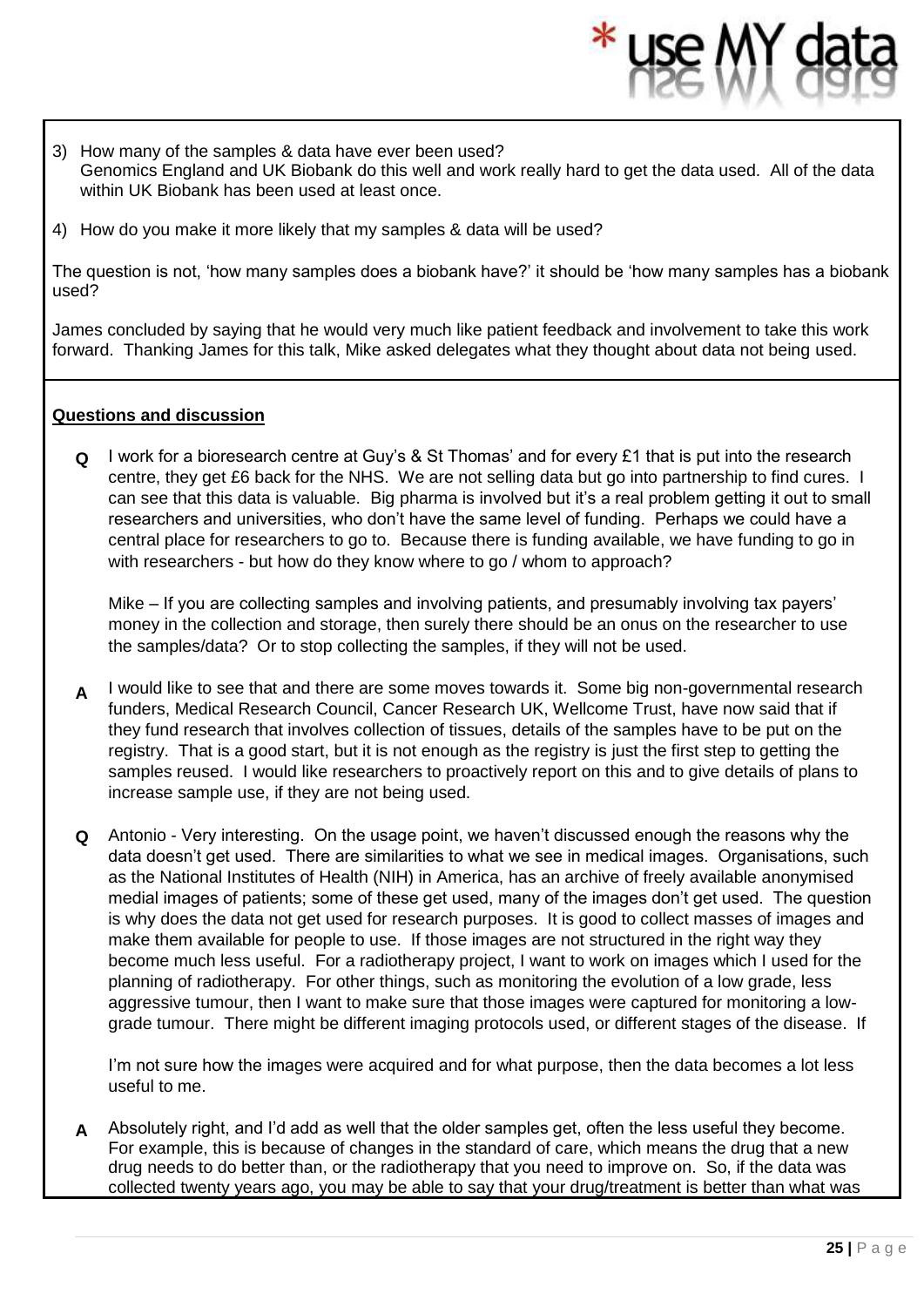- 3) How many of the samples & data have ever been used? Genomics England and UK Biobank do this well and work really hard to get the data used. All of the data within UK Biobank has been used at least once.
- 4) How do you make it more likely that my samples & data will be used?

The question is not, 'how many samples does a biobank have?' it should be 'how many samples has a biobank used?

James concluded by saying that he would very much like patient feedback and involvement to take this work forward. Thanking James for this talk, Mike asked delegates what they thought about data not being used.

#### **Questions and discussion**

**Q** I work for a bioresearch centre at Guy's & St Thomas' and for every £1 that is put into the research centre, they get £6 back for the NHS. We are not selling data but go into partnership to find cures. I can see that this data is valuable. Big pharma is involved but it's a real problem getting it out to small researchers and universities, who don't have the same level of funding. Perhaps we could have a central place for researchers to go to. Because there is funding available, we have funding to go in with researchers - but how do they know where to go / whom to approach?

Mike – If you are collecting samples and involving patients, and presumably involving tax payers' money in the collection and storage, then surely there should be an onus on the researcher to use the samples/data? Or to stop collecting the samples, if they will not be used.

- **A** I would like to see that and there are some moves towards it. Some big non-governmental research funders, Medical Research Council, Cancer Research UK, Wellcome Trust, have now said that if they fund research that involves collection of tissues, details of the samples have to be put on the registry. That is a good start, but it is not enough as the registry is just the first step to getting the samples reused. I would like researchers to proactively report on this and to give details of plans to increase sample use, if they are not being used.
- **Q** Antonio - Very interesting. On the usage point, we haven't discussed enough the reasons why the data doesn't get used. There are similarities to what we see in medical images. Organisations, such as the National Institutes of Health (NIH) in America, has an archive of freely available anonymised medial images of patients; some of these get used, many of the images don't get used. The question is why does the data not get used for research purposes. It is good to collect masses of images and make them available for people to use. If those images are not structured in the right way they become much less useful. For a radiotherapy project, I want to work on images which I used for the planning of radiotherapy. For other things, such as monitoring the evolution of a low grade, less aggressive tumour, then I want to make sure that those images were captured for monitoring a lowgrade tumour. There might be different imaging protocols used, or different stages of the disease. If

I'm not sure how the images were acquired and for what purpose, then the data becomes a lot less useful to me.

**A** Absolutely right, and I'd add as well that the older samples get, often the less useful they become. For example, this is because of changes in the standard of care, which means the drug that a new drug needs to do better than, or the radiotherapy that you need to improve on. So, if the data was collected twenty years ago, you may be able to say that your drug/treatment is better than what was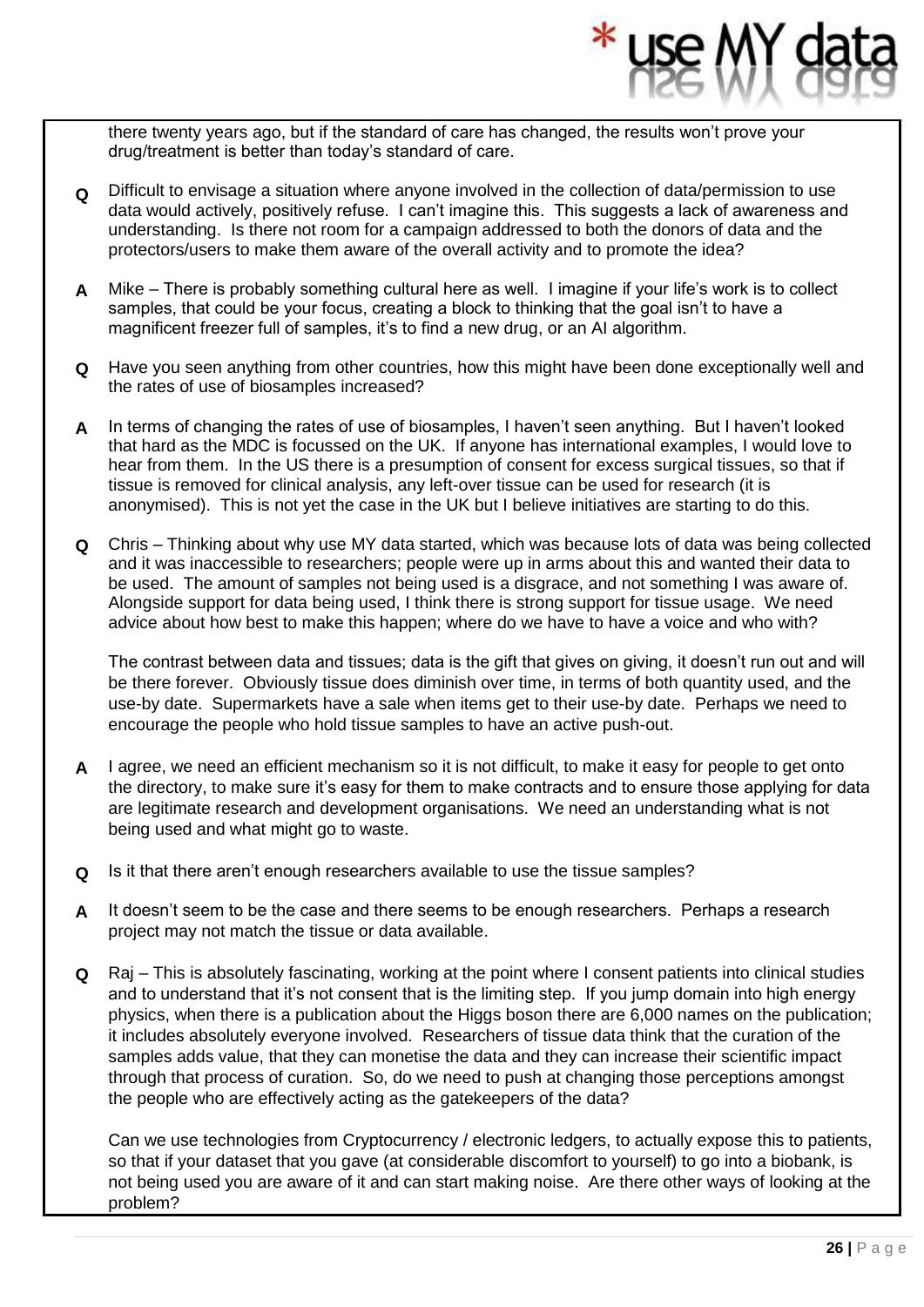there twenty years ago, but if the standard of care has changed, the results won't prove your drug/treatment is better than today's standard of care.

- **Q** Difficult to envisage a situation where anyone involved in the collection of data/permission to use data would actively, positively refuse. I can't imagine this. This suggests a lack of awareness and understanding. Is there not room for a campaign addressed to both the donors of data and the protectors/users to make them aware of the overall activity and to promote the idea?
- **A** Mike There is probably something cultural here as well. I imagine if your life's work is to collect samples, that could be your focus, creating a block to thinking that the goal isn't to have a magnificent freezer full of samples, it's to find a new drug, or an AI algorithm.
- **Q** Have you seen anything from other countries, how this might have been done exceptionally well and the rates of use of biosamples increased?
- **A** In terms of changing the rates of use of biosamples, I haven't seen anything. But I haven't looked that hard as the MDC is focussed on the UK. If anyone has international examples, I would love to hear from them. In the US there is a presumption of consent for excess surgical tissues, so that if tissue is removed for clinical analysis, any left-over tissue can be used for research (it is anonymised). This is not yet the case in the UK but I believe initiatives are starting to do this.
- **Q** Chris Thinking about why use MY data started, which was because lots of data was being collected and it was inaccessible to researchers; people were up in arms about this and wanted their data to be used. The amount of samples not being used is a disgrace, and not something I was aware of. Alongside support for data being used, I think there is strong support for tissue usage. We need advice about how best to make this happen; where do we have to have a voice and who with?

The contrast between data and tissues; data is the gift that gives on giving, it doesn't run out and will be there forever. Obviously tissue does diminish over time, in terms of both quantity used, and the use-by date. Supermarkets have a sale when items get to their use-by date. Perhaps we need to encourage the people who hold tissue samples to have an active push-out.

- **A** I agree, we need an efficient mechanism so it is not difficult, to make it easy for people to get onto the directory, to make sure it's easy for them to make contracts and to ensure those applying for data are legitimate research and development organisations. We need an understanding what is not being used and what might go to waste.
- **Q** Is it that there aren't enough researchers available to use the tissue samples?
- **A** It doesn't seem to be the case and there seems to be enough researchers. Perhaps a research project may not match the tissue or data available.
- **Q** Raj This is absolutely fascinating, working at the point where I consent patients into clinical studies and to understand that it's not consent that is the limiting step. If you jump domain into high energy physics, when there is a publication about the Higgs boson there are 6,000 names on the publication; it includes absolutely everyone involved. Researchers of tissue data think that the curation of the samples adds value, that they can monetise the data and they can increase their scientific impact through that process of curation. So, do we need to push at changing those perceptions amongst the people who are effectively acting as the gatekeepers of the data?

Can we use technologies from Cryptocurrency / electronic ledgers, to actually expose this to patients, so that if your dataset that you gave (at considerable discomfort to yourself) to go into a biobank, is not being used you are aware of it and can start making noise. Are there other ways of looking at the problem?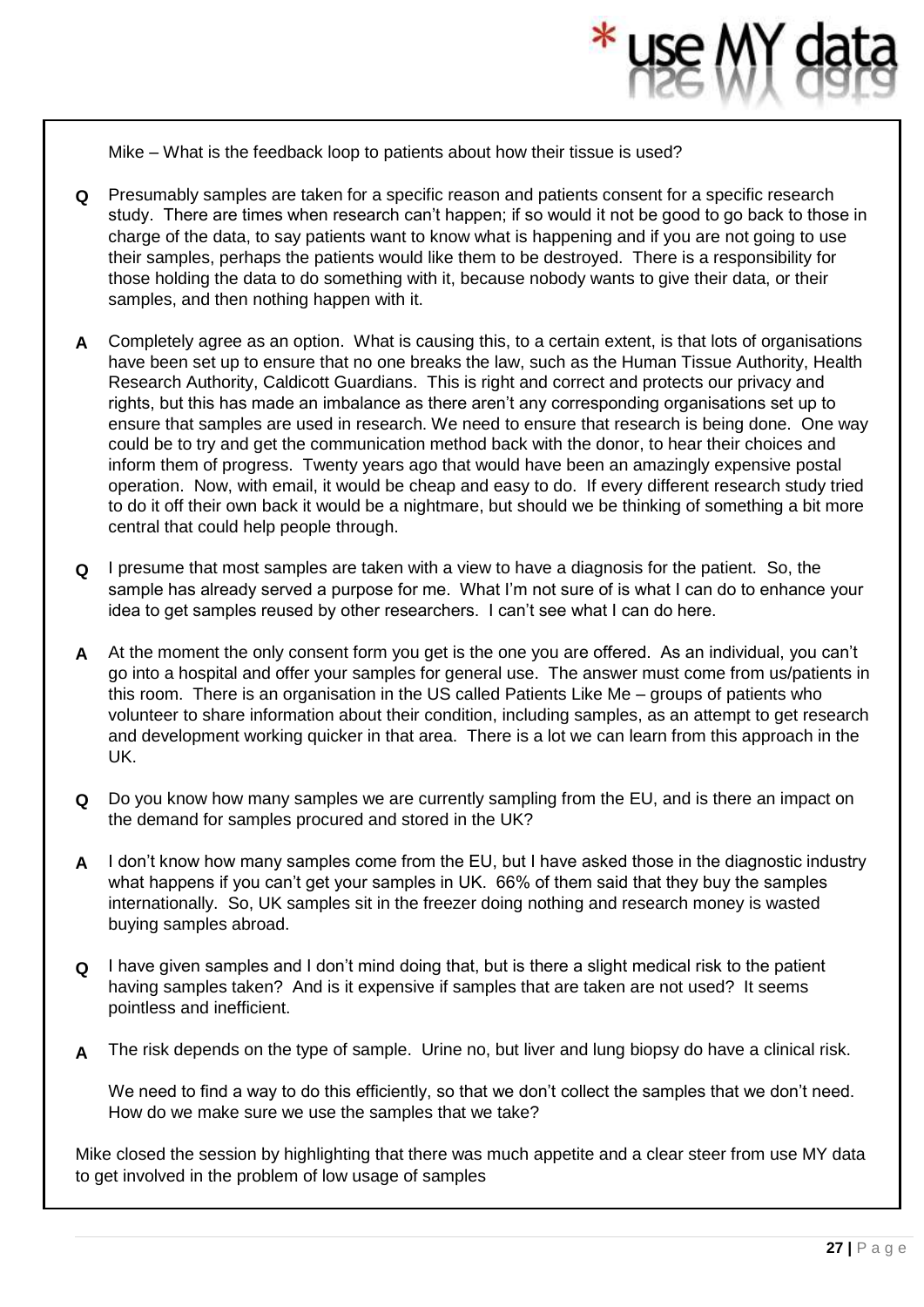Mike – What is the feedback loop to patients about how their tissue is used?

- **Q** Presumably samples are taken for a specific reason and patients consent for a specific research study. There are times when research can't happen; if so would it not be good to go back to those in charge of the data, to say patients want to know what is happening and if you are not going to use their samples, perhaps the patients would like them to be destroyed. There is a responsibility for those holding the data to do something with it, because nobody wants to give their data, or their samples, and then nothing happen with it.
- **A** Completely agree as an option. What is causing this, to a certain extent, is that lots of organisations have been set up to ensure that no one breaks the law, such as the Human Tissue Authority, Health Research Authority, Caldicott Guardians. This is right and correct and protects our privacy and rights, but this has made an imbalance as there aren't any corresponding organisations set up to ensure that samples are used in research. We need to ensure that research is being done. One way could be to try and get the communication method back with the donor, to hear their choices and inform them of progress. Twenty years ago that would have been an amazingly expensive postal operation. Now, with email, it would be cheap and easy to do. If every different research study tried to do it off their own back it would be a nightmare, but should we be thinking of something a bit more central that could help people through.
- **Q** I presume that most samples are taken with a view to have a diagnosis for the patient. So, the sample has already served a purpose for me. What I'm not sure of is what I can do to enhance your idea to get samples reused by other researchers. I can't see what I can do here.
- **A** At the moment the only consent form you get is the one you are offered. As an individual, you can't go into a hospital and offer your samples for general use. The answer must come from us/patients in this room. There is an organisation in the US called Patients Like Me – groups of patients who volunteer to share information about their condition, including samples, as an attempt to get research and development working quicker in that area. There is a lot we can learn from this approach in the UK.
- **Q** Do you know how many samples we are currently sampling from the EU, and is there an impact on the demand for samples procured and stored in the UK?
- **A** I don't know how many samples come from the EU, but I have asked those in the diagnostic industry what happens if you can't get your samples in UK. 66% of them said that they buy the samples internationally. So, UK samples sit in the freezer doing nothing and research money is wasted buying samples abroad.
- **Q** I have given samples and I don't mind doing that, but is there a slight medical risk to the patient having samples taken? And is it expensive if samples that are taken are not used? It seems pointless and inefficient.
- **A** The risk depends on the type of sample. Urine no, but liver and lung biopsy do have a clinical risk.

We need to find a way to do this efficiently, so that we don't collect the samples that we don't need. How do we make sure we use the samples that we take?

Mike closed the session by highlighting that there was much appetite and a clear steer from use MY data to get involved in the problem of low usage of samples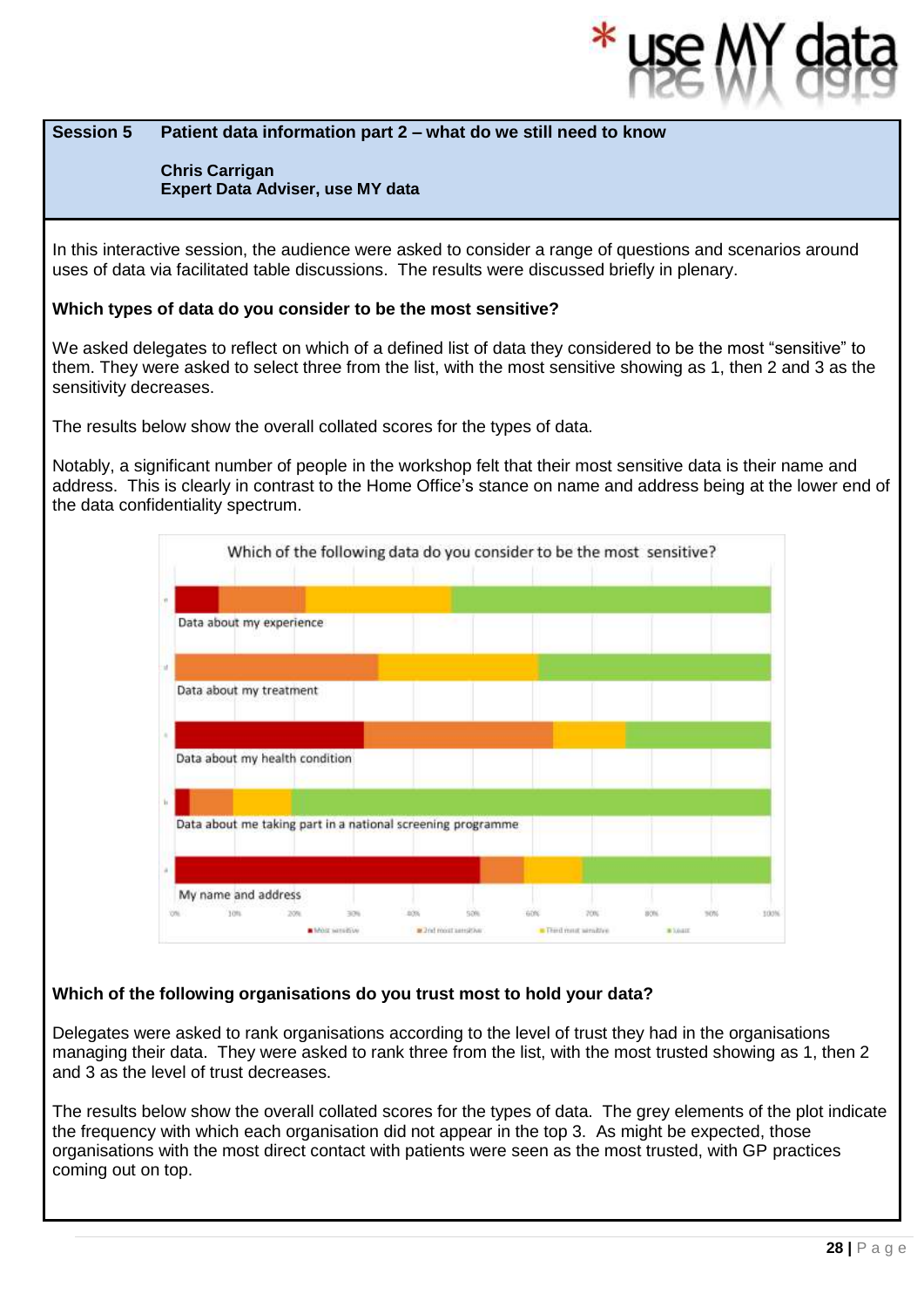#### **Session 5 Patient data information part 2 – what do we still need to know**

#### **Chris Carrigan Expert Data Adviser, use MY data**

In this interactive session, the audience were asked to consider a range of questions and scenarios around uses of data via facilitated table discussions. The results were discussed briefly in plenary.

#### **Which types of data do you consider to be the most sensitive?**

We asked delegates to reflect on which of a defined list of data they considered to be the most "sensitive" to them. They were asked to select three from the list, with the most sensitive showing as 1, then 2 and 3 as the sensitivity decreases.

The results below show the overall collated scores for the types of data.

Notably, a significant number of people in the workshop felt that their most sensitive data is their name and address. This is clearly in contrast to the Home Office's stance on name and address being at the lower end of the data confidentiality spectrum.



#### **Which of the following organisations do you trust most to hold your data?**

Delegates were asked to rank organisations according to the level of trust they had in the organisations managing their data. They were asked to rank three from the list, with the most trusted showing as 1, then 2 and 3 as the level of trust decreases.

The results below show the overall collated scores for the types of data. The grey elements of the plot indicate the frequency with which each organisation did not appear in the top 3. As might be expected, those organisations with the most direct contact with patients were seen as the most trusted, with GP practices coming out on top.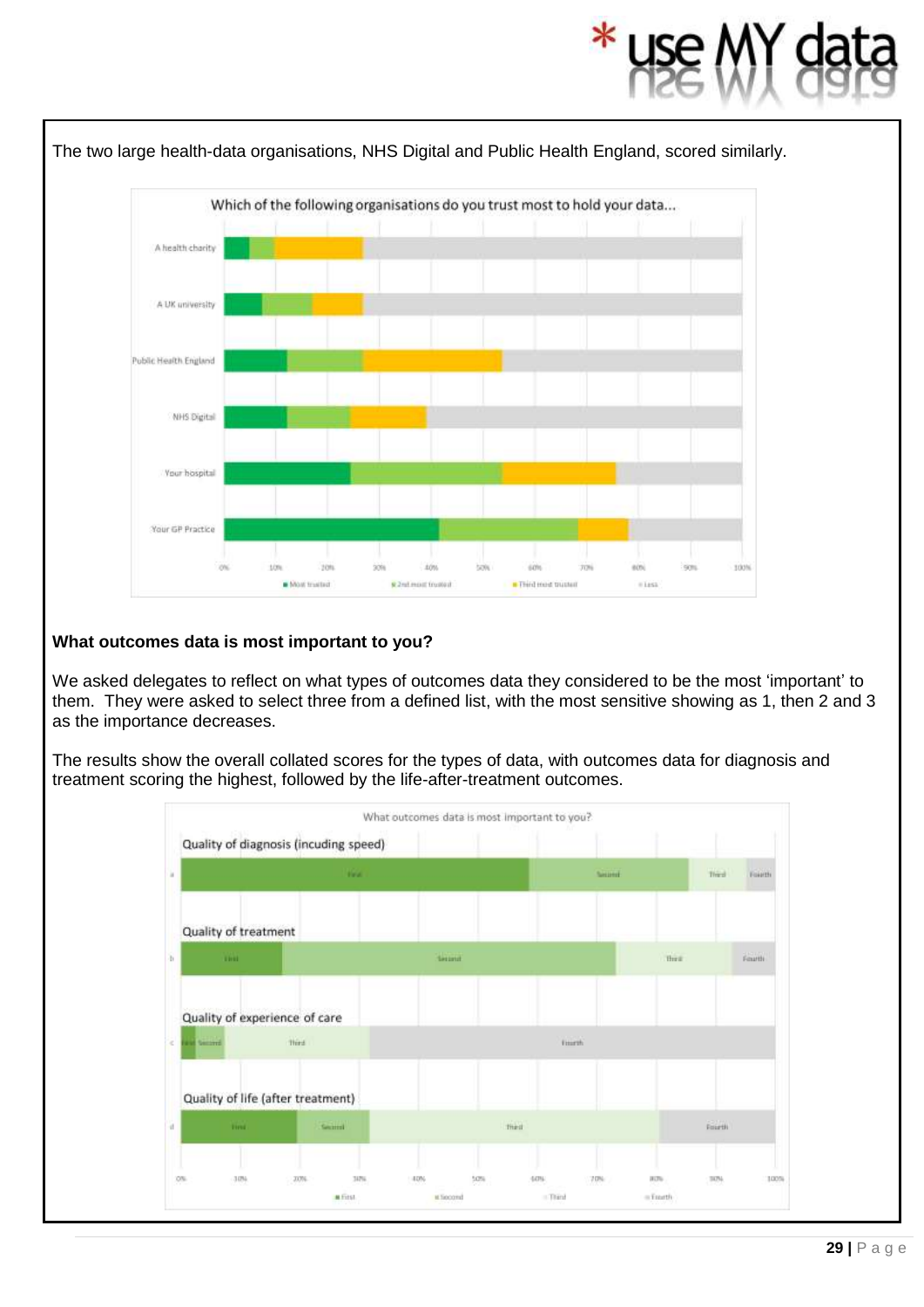

#### **What outcomes data is most important to you?**

We asked delegates to reflect on what types of outcomes data they considered to be the most 'important' to them. They were asked to select three from a defined list, with the most sensitive showing as 1, then 2 and 3 as the importance decreases.

The results show the overall collated scores for the types of data, with outcomes data for diagnosis and treatment scoring the highest, followed by the life-after-treatment outcomes.

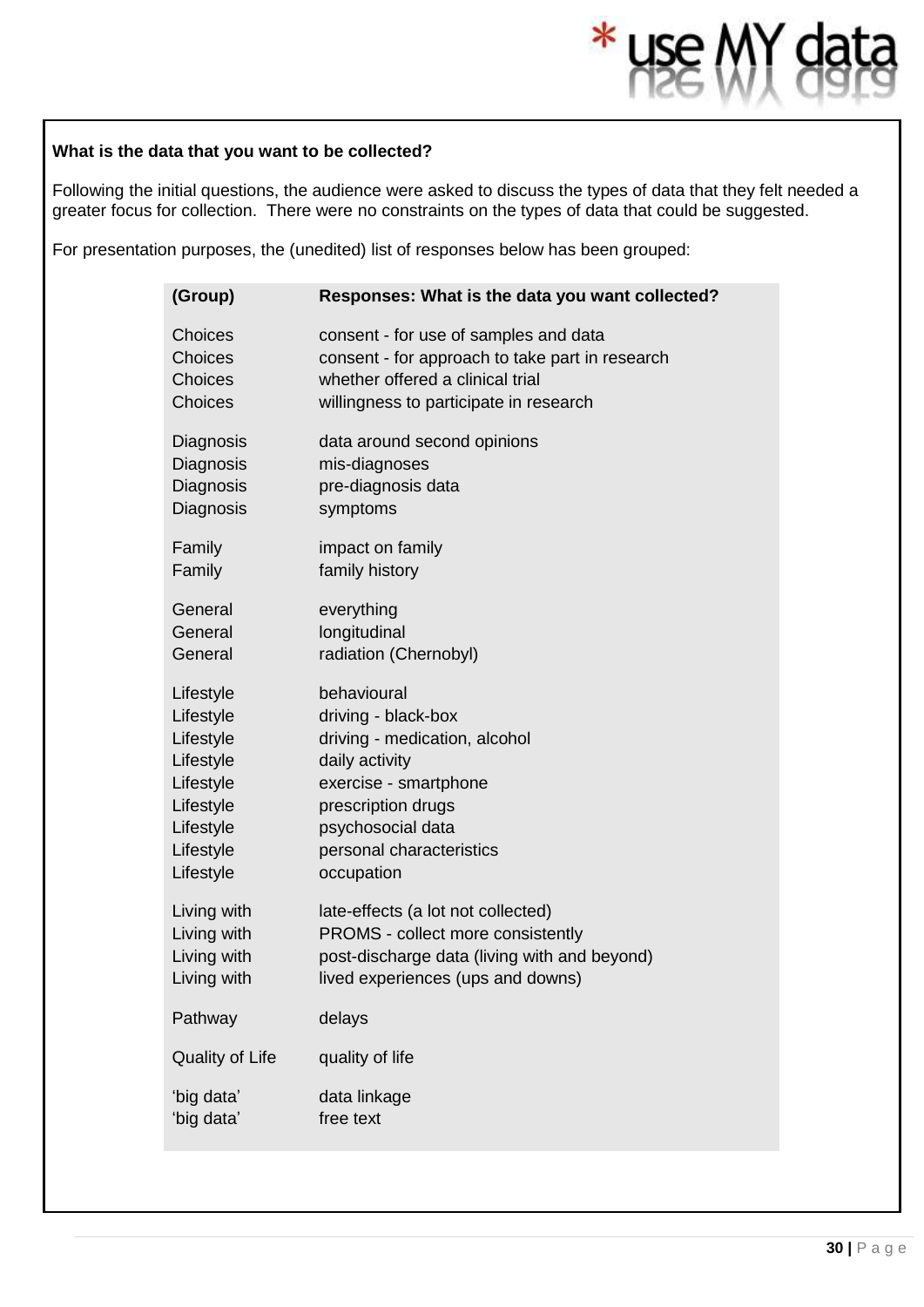## **What is the data that you want to be collected?**

Following the initial questions, the audience were asked to discuss the types of data that they felt needed a greater focus for collection. There were no constraints on the types of data that could be suggested.

 $*<sub>1</sub>$ 

For presentation purposes, the (unedited) list of responses below has been grouped:

| (Group)         | Responses: What is the data you want collected? |
|-----------------|-------------------------------------------------|
| <b>Choices</b>  | consent - for use of samples and data           |
| Choices         | consent - for approach to take part in research |
| Choices         | whether offered a clinical trial                |
| Choices         | willingness to participate in research          |
| Diagnosis       | data around second opinions                     |
| Diagnosis       | mis-diagnoses                                   |
| Diagnosis       | pre-diagnosis data                              |
| Diagnosis       | symptoms                                        |
| Family          | impact on family                                |
| Family          | family history                                  |
| General         | everything                                      |
| General         | longitudinal                                    |
| General         | radiation (Chernobyl)                           |
| Lifestyle       | behavioural                                     |
| Lifestyle       | driving - black-box                             |
| Lifestyle       | driving - medication, alcohol                   |
| Lifestyle       | daily activity                                  |
| Lifestyle       | exercise - smartphone                           |
| Lifestyle       | prescription drugs                              |
| Lifestyle       | psychosocial data                               |
| Lifestyle       | personal characteristics                        |
| Lifestyle       | occupation                                      |
| Living with     | late-effects (a lot not collected)              |
| Living with     | PROMS - collect more consistently               |
| Living with     | post-discharge data (living with and beyond)    |
| Living with     | lived experiences (ups and downs)               |
| Pathway         | delays                                          |
| Quality of Life | quality of life                                 |
| 'big data'      | data linkage                                    |
| 'big data'      | free text                                       |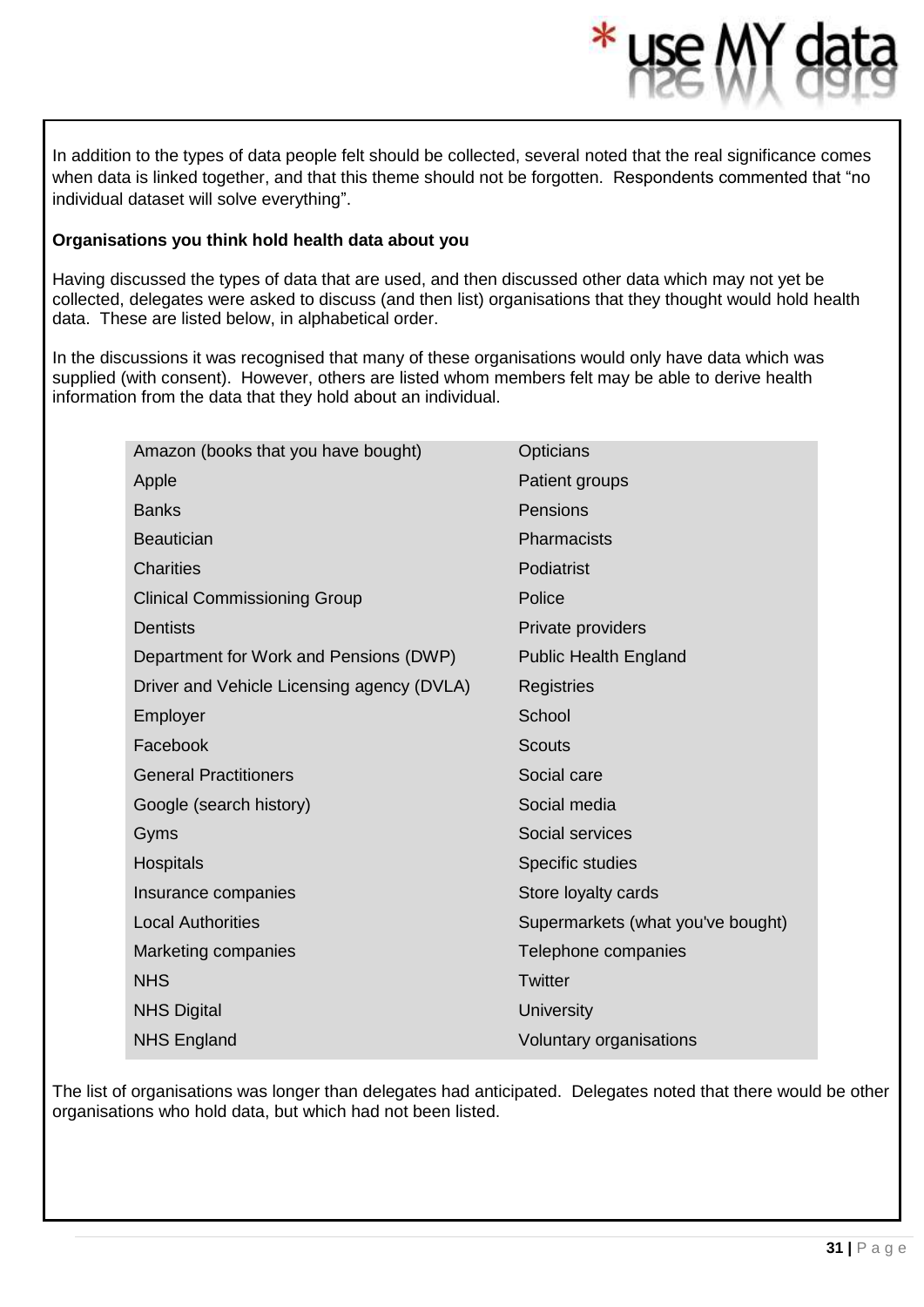In addition to the types of data people felt should be collected, several noted that the real significance comes when data is linked together, and that this theme should not be forgotten. Respondents commented that "no individual dataset will solve everything".

#### **Organisations you think hold health data about you**

Having discussed the types of data that are used, and then discussed other data which may not yet be collected, delegates were asked to discuss (and then list) organisations that they thought would hold health data. These are listed below, in alphabetical order.

In the discussions it was recognised that many of these organisations would only have data which was supplied (with consent). However, others are listed whom members felt may be able to derive health information from the data that they hold about an individual.

| Amazon (books that you have bought)        | Opticians                         |
|--------------------------------------------|-----------------------------------|
| Apple                                      | Patient groups                    |
| <b>Banks</b>                               | Pensions                          |
| <b>Beautician</b>                          | Pharmacists                       |
| <b>Charities</b>                           | Podiatrist                        |
| <b>Clinical Commissioning Group</b>        | Police                            |
| <b>Dentists</b>                            | Private providers                 |
| Department for Work and Pensions (DWP)     | <b>Public Health England</b>      |
| Driver and Vehicle Licensing agency (DVLA) | Registries                        |
| Employer                                   | School                            |
| Facebook                                   | <b>Scouts</b>                     |
| <b>General Practitioners</b>               | Social care                       |
| Google (search history)                    | Social media                      |
| Gyms                                       | Social services                   |
| Hospitals                                  | Specific studies                  |
| Insurance companies                        | Store loyalty cards               |
| <b>Local Authorities</b>                   | Supermarkets (what you've bought) |
| Marketing companies                        | Telephone companies               |
| <b>NHS</b>                                 | Twitter                           |
| <b>NHS Digital</b>                         | <b>University</b>                 |
| <b>NHS England</b>                         | Voluntary organisations           |
|                                            |                                   |

The list of organisations was longer than delegates had anticipated. Delegates noted that there would be other organisations who hold data, but which had not been listed.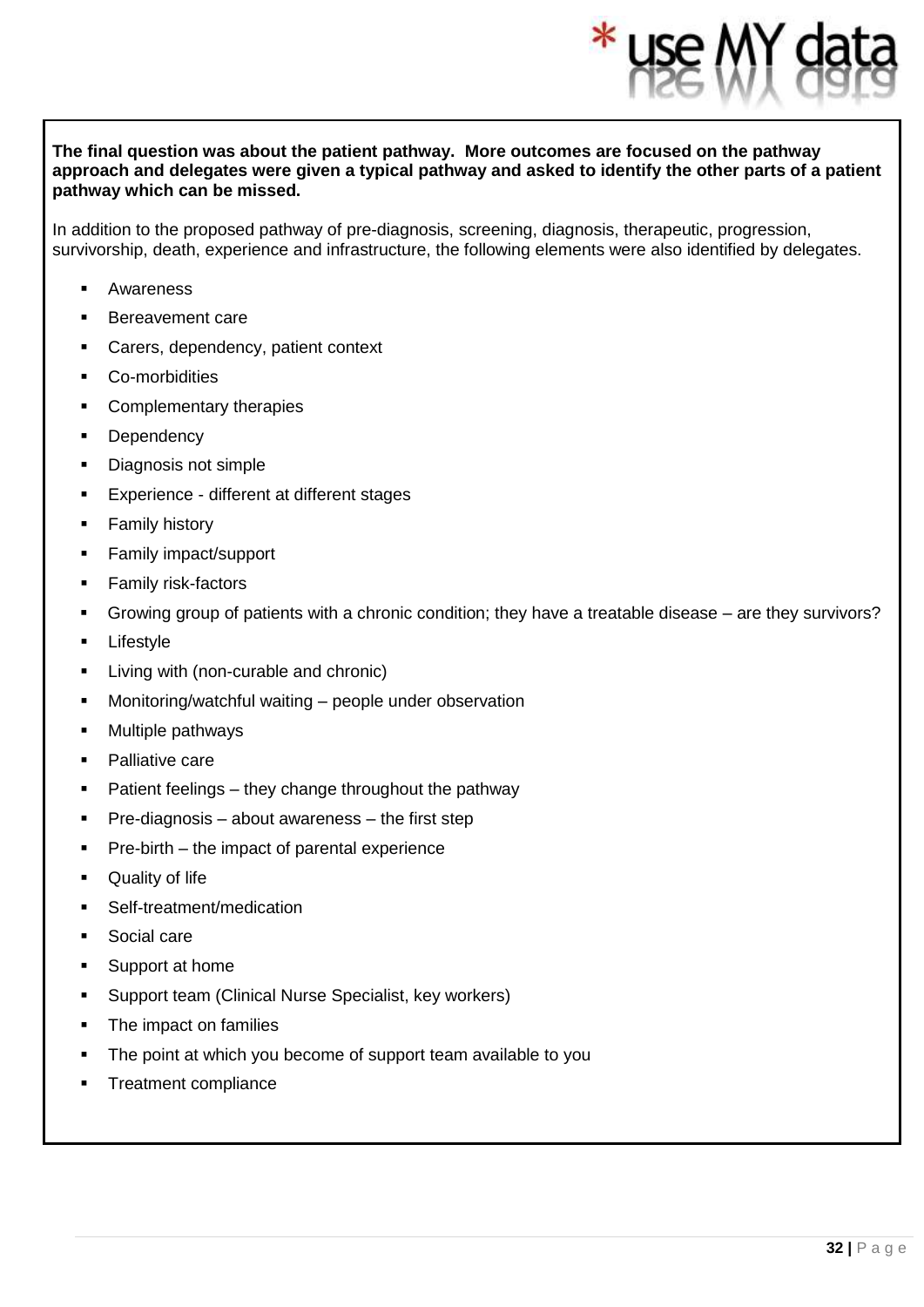#### **The final question was about the patient pathway. More outcomes are focused on the pathway approach and delegates were given a typical pathway and asked to identify the other parts of a patient pathway which can be missed.**

In addition to the proposed pathway of pre-diagnosis, screening, diagnosis, therapeutic, progression, survivorship, death, experience and infrastructure, the following elements were also identified by delegates.

- **Awareness**
- Bereavement care
- Carers, dependency, patient context
- Co-morbidities
- Complementary therapies
- **Dependency**
- Diagnosis not simple
- Experience different at different stages
- **Family history**
- Family impact/support
- **EXECUTE:** Family risk-factors
- Growing group of patients with a chronic condition; they have a treatable disease are they survivors?
- Lifestyle
- Living with (non-curable and chronic)
- Monitoring/watchful waiting people under observation
- Multiple pathways
- Palliative care
- Patient feelings they change throughout the pathway
- $Pre-diagonosis about awareness the first step$
- $Pre-birth$  the impact of parental experience
- Quality of life
- Self-treatment/medication
- Social care
- Support at home
- Support team (Clinical Nurse Specialist, key workers)
- The impact on families
- The point at which you become of support team available to you
- **Treatment compliance**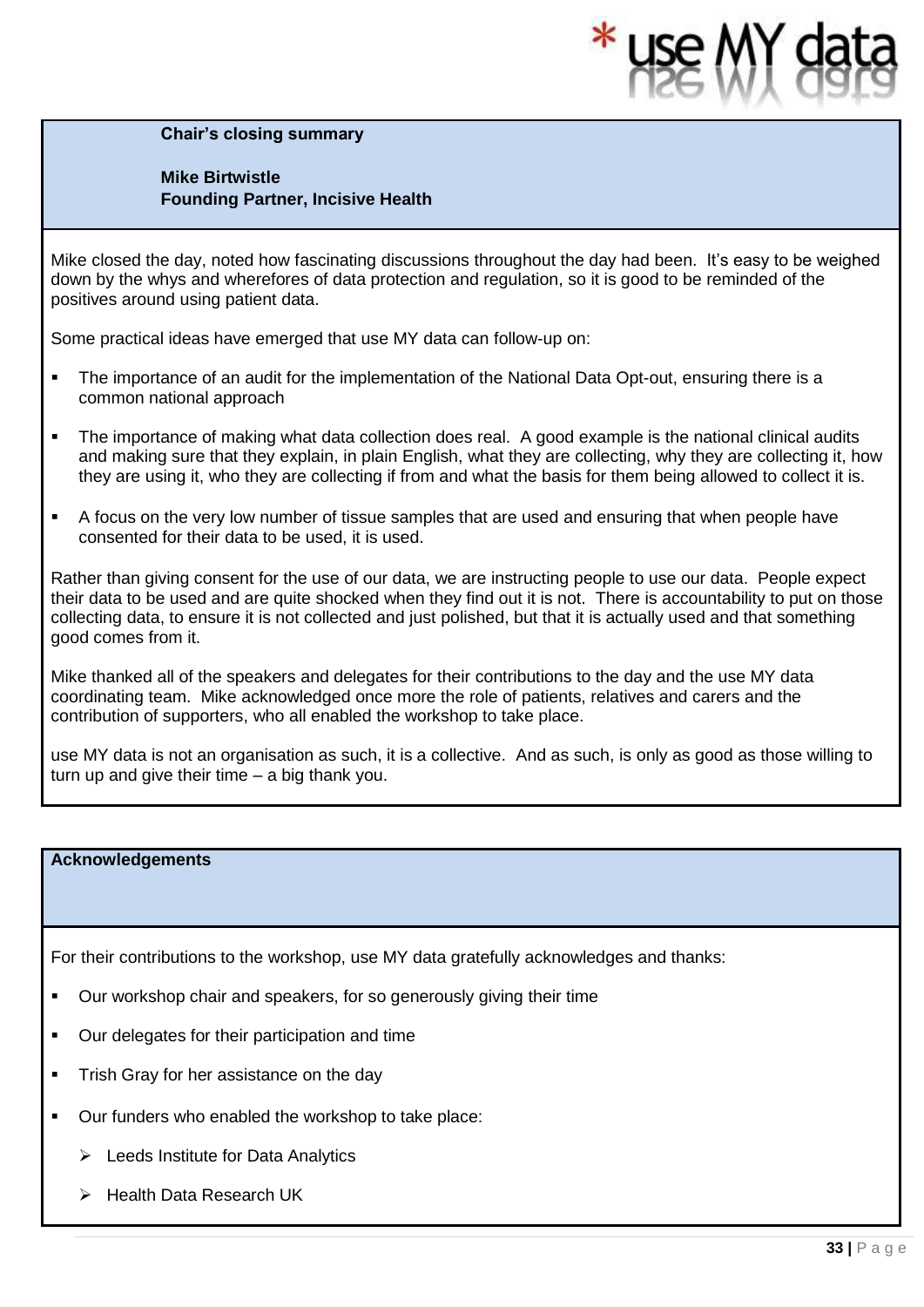**Chair's closing summary** 

#### **Mike Birtwistle Founding Partner, Incisive Health**

Mike closed the day, noted how fascinating discussions throughout the day had been. It's easy to be weighed down by the whys and wherefores of data protection and regulation, so it is good to be reminded of the positives around using patient data.

Some practical ideas have emerged that use MY data can follow-up on:

- The importance of an audit for the implementation of the National Data Opt-out, ensuring there is a common national approach
- The importance of making what data collection does real. A good example is the national clinical audits and making sure that they explain, in plain English, what they are collecting, why they are collecting it, how they are using it, who they are collecting if from and what the basis for them being allowed to collect it is.
- A focus on the very low number of tissue samples that are used and ensuring that when people have consented for their data to be used, it is used.

Rather than giving consent for the use of our data, we are instructing people to use our data. People expect their data to be used and are quite shocked when they find out it is not. There is accountability to put on those collecting data, to ensure it is not collected and just polished, but that it is actually used and that something good comes from it.

Mike thanked all of the speakers and delegates for their contributions to the day and the use MY data coordinating team. Mike acknowledged once more the role of patients, relatives and carers and the contribution of supporters, who all enabled the workshop to take place.

use MY data is not an organisation as such, it is a collective. And as such, is only as good as those willing to turn up and give their time – a big thank you.

#### **Acknowledgements**

For their contributions to the workshop, use MY data gratefully acknowledges and thanks:

- Our workshop chair and speakers, for so generously giving their time
- Our delegates for their participation and time
- **•** Trish Gray for her assistance on the day
- Our funders who enabled the workshop to take place:
	- ➢ Leeds Institute for Data Analytics
	- ➢ Health Data Research UK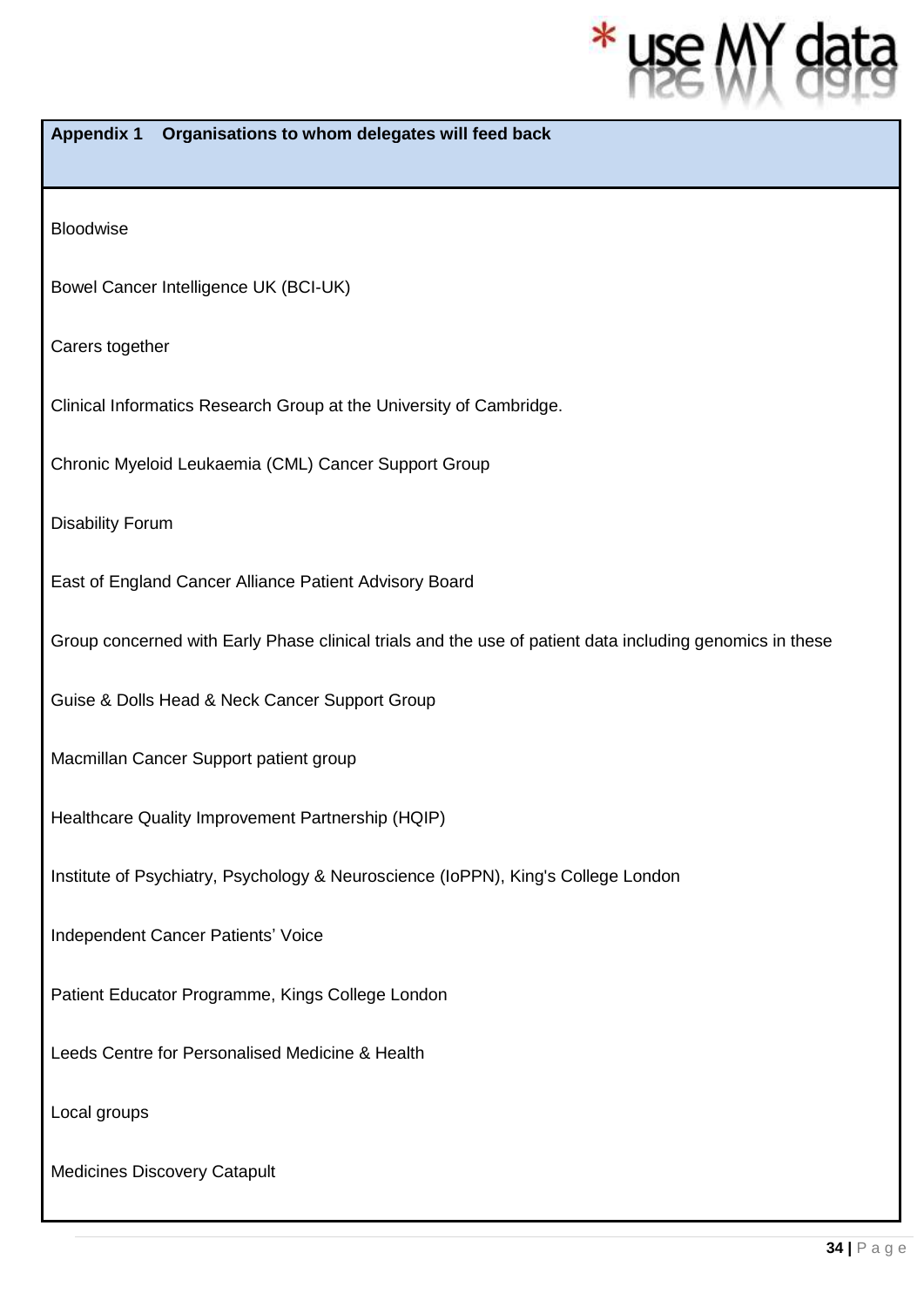